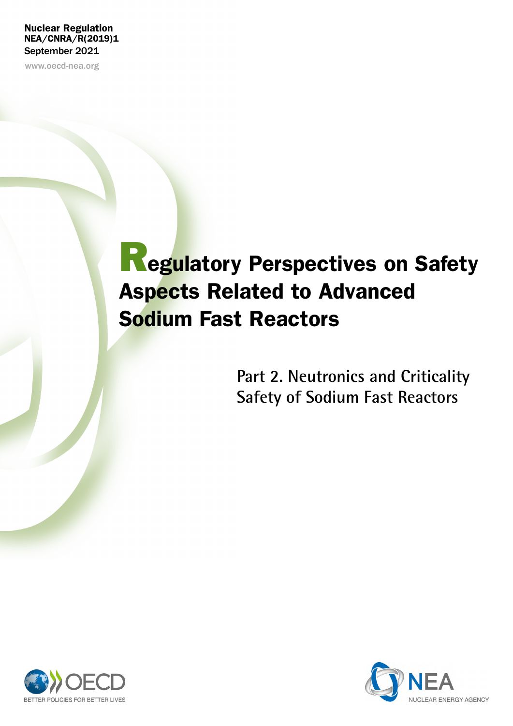#### Nuclear Regulation NEA/CNRA/R(2019)1 September 2021

www.oecd-nea.org

# **Regulatory Perspectives on Safety** Aspects Related to Advanced Sodium Fast Reactors

**Part 2. Neutronics and Criticality Safety of Sodium Fast Reactors**



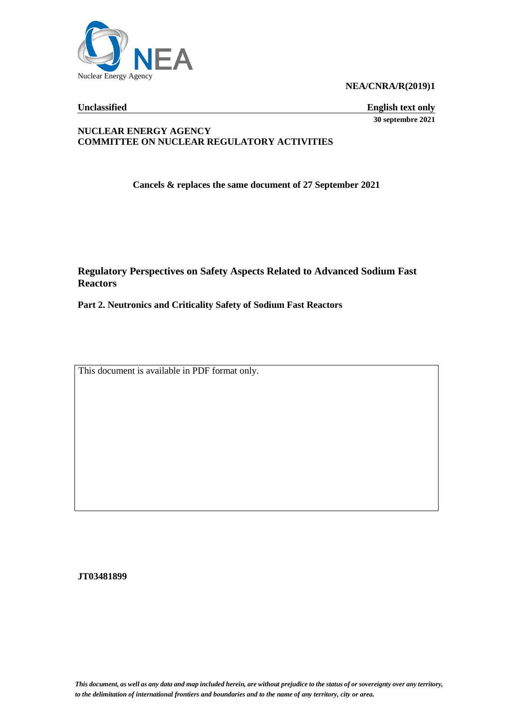

**NEA/CNRA/R(2019)1**

**Unclassified English text only 30 septembre 2021**

#### **NUCLEAR ENERGY AGENCY COMMITTEE ON NUCLEAR REGULATORY ACTIVITIES**

**Cancels & replaces the same document of 27 September 2021**

#### **Regulatory Perspectives on Safety Aspects Related to Advanced Sodium Fast Reactors**

**Part 2. Neutronics and Criticality Safety of Sodium Fast Reactors**

This document is available in PDF format only.

**JT03481899**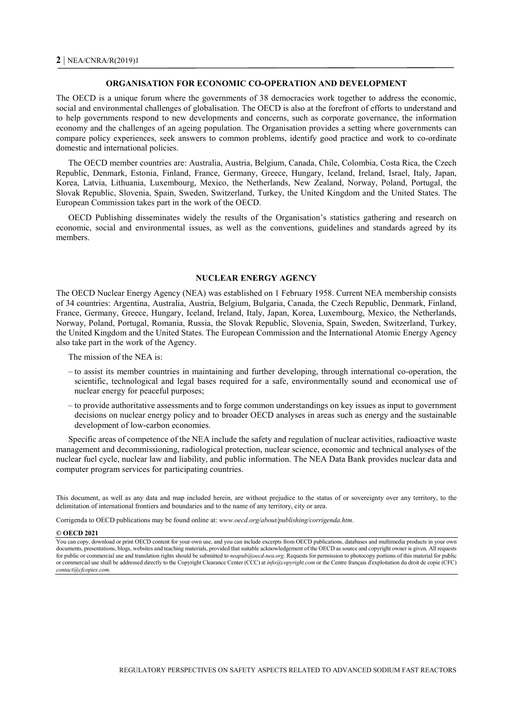#### **ORGANISATION FOR ECONOMIC CO-OPERATION AND DEVELOPMENT**

The OECD is a unique forum where the governments of 38 democracies work together to address the economic, social and environmental challenges of globalisation. The OECD is also at the forefront of efforts to understand and to help governments respond to new developments and concerns, such as corporate governance, the information economy and the challenges of an ageing population. The Organisation provides a setting where governments can compare policy experiences, seek answers to common problems, identify good practice and work to co-ordinate domestic and international policies.

The OECD member countries are: Australia, Austria, Belgium, Canada, Chile, Colombia, Costa Rica, the Czech Republic, Denmark, Estonia, Finland, France, Germany, Greece, Hungary, Iceland, Ireland, Israel, Italy, Japan, Korea, Latvia, Lithuania, Luxembourg, Mexico, the Netherlands, New Zealand, Norway, Poland, Portugal, the Slovak Republic, Slovenia, Spain, Sweden, Switzerland, Turkey, the United Kingdom and the United States. The European Commission takes part in the work of the OECD.

OECD Publishing disseminates widely the results of the Organisation's statistics gathering and research on economic, social and environmental issues, as well as the conventions, guidelines and standards agreed by its members.

#### **NUCLEAR ENERGY AGENCY**

The OECD Nuclear Energy Agency (NEA) was established on 1 February 1958. Current NEA membership consists of 34 countries: Argentina, Australia, Austria, Belgium, Bulgaria, Canada, the Czech Republic, Denmark, Finland, France, Germany, Greece, Hungary, Iceland, Ireland, Italy, Japan, Korea, Luxembourg, Mexico, the Netherlands, Norway, Poland, Portugal, Romania, Russia, the Slovak Republic, Slovenia, Spain, Sweden, Switzerland, Turkey, the United Kingdom and the United States. The European Commission and the International Atomic Energy Agency also take part in the work of the Agency.

The mission of the NEA is:

- to assist its member countries in maintaining and further developing, through international co-operation, the scientific, technological and legal bases required for a safe, environmentally sound and economical use of nuclear energy for peaceful purposes;
- to provide authoritative assessments and to forge common understandings on key issues as input to government decisions on nuclear energy policy and to broader OECD analyses in areas such as energy and the sustainable development of low-carbon economies.

Specific areas of competence of the NEA include the safety and regulation of nuclear activities, radioactive waste management and decommissioning, radiological protection, nuclear science, economic and technical analyses of the nuclear fuel cycle, nuclear law and liability, and public information. The NEA Data Bank provides nuclear data and computer program services for participating countries.

This document, as well as any data and map included herein, are without prejudice to the status of or sovereignty over any territory, to the delimitation of international frontiers and boundaries and to the name of any territory, city or area.

Corrigenda to OECD publications may be found online at: *www.oecd.org/about/publishing/corrigenda.htm*.

**© OECD 2021**

You can copy, download or print OECD content for your own use, and you can include excerpts from OECD publications, databases and multimedia products in your own documents, presentations, blogs, websites and teaching materials, provided that suitable acknowledgement of the OECD as source and copyright owner is given. All requests for public or commercial use and translation rights should be submitted to *neapub@oecd-nea.org*. Requests for permission to photocopy portions of this material for public or commercial use shall be addressed directly to the Copyright Clearance Center (CCC) at *info@copyright.com* or the Centre français d'exploitation du droit de copie (CFC) *contact@cfcopies.com*.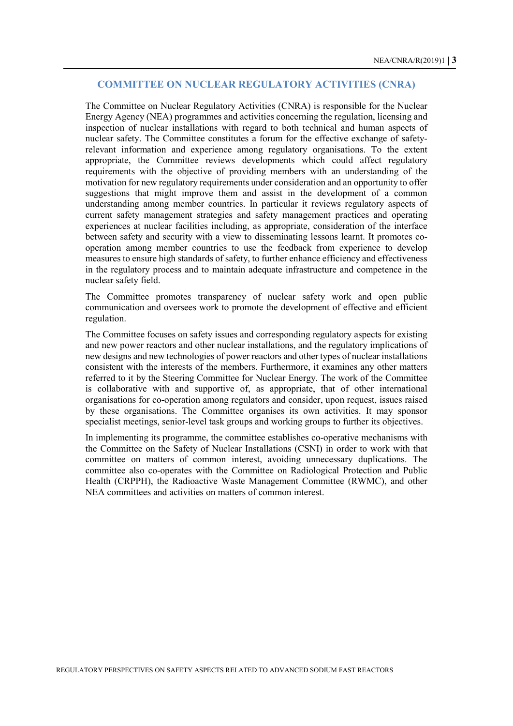#### **COMMITTEE ON NUCLEAR REGULATORY ACTIVITIES (CNRA)**

The Committee on Nuclear Regulatory Activities (CNRA) is responsible for the Nuclear Energy Agency (NEA) programmes and activities concerning the regulation, licensing and inspection of nuclear installations with regard to both technical and human aspects of nuclear safety. The Committee constitutes a forum for the effective exchange of safetyrelevant information and experience among regulatory organisations. To the extent appropriate, the Committee reviews developments which could affect regulatory requirements with the objective of providing members with an understanding of the motivation for new regulatory requirements under consideration and an opportunity to offer suggestions that might improve them and assist in the development of a common understanding among member countries. In particular it reviews regulatory aspects of current safety management strategies and safety management practices and operating experiences at nuclear facilities including, as appropriate, consideration of the interface between safety and security with a view to disseminating lessons learnt. It promotes cooperation among member countries to use the feedback from experience to develop measures to ensure high standards of safety, to further enhance efficiency and effectiveness in the regulatory process and to maintain adequate infrastructure and competence in the nuclear safety field.

The Committee promotes transparency of nuclear safety work and open public communication and oversees work to promote the development of effective and efficient regulation.

The Committee focuses on safety issues and corresponding regulatory aspects for existing and new power reactors and other nuclear installations, and the regulatory implications of new designs and new technologies of power reactors and other types of nuclear installations consistent with the interests of the members. Furthermore, it examines any other matters referred to it by the Steering Committee for Nuclear Energy. The work of the Committee is collaborative with and supportive of, as appropriate, that of other international organisations for co-operation among regulators and consider, upon request, issues raised by these organisations. The Committee organises its own activities. It may sponsor specialist meetings, senior-level task groups and working groups to further its objectives.

In implementing its programme, the committee establishes co-operative mechanisms with the Committee on the Safety of Nuclear Installations (CSNI) in order to work with that committee on matters of common interest, avoiding unnecessary duplications. The committee also co-operates with the Committee on Radiological Protection and Public Health (CRPPH), the Radioactive Waste Management Committee (RWMC), and other NEA committees and activities on matters of common interest.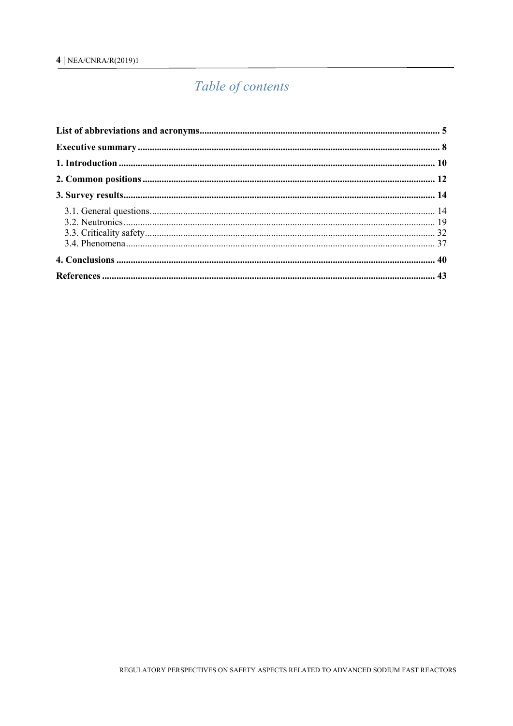# Table of contents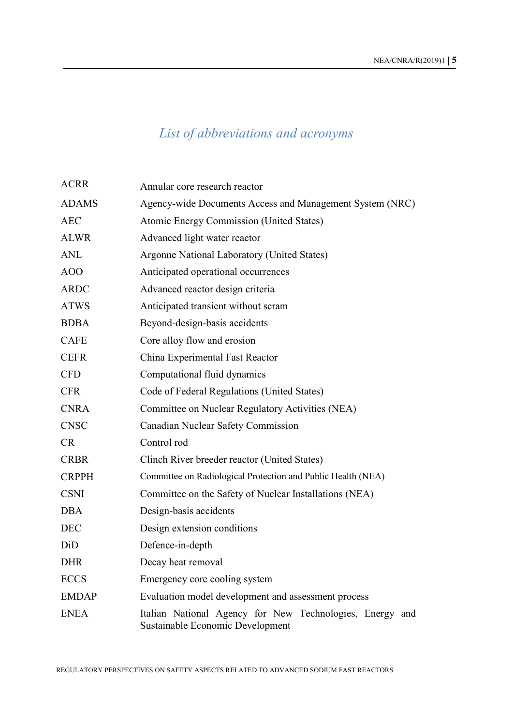## *List of abbreviations and acronyms*

<span id="page-6-0"></span>

| <b>ACRR</b>  | Annular core research reactor                                                                |
|--------------|----------------------------------------------------------------------------------------------|
| <b>ADAMS</b> | Agency-wide Documents Access and Management System (NRC)                                     |
| AEC          | Atomic Energy Commission (United States)                                                     |
| <b>ALWR</b>  | Advanced light water reactor                                                                 |
| <b>ANL</b>   | Argonne National Laboratory (United States)                                                  |
| AOO          | Anticipated operational occurrences                                                          |
| <b>ARDC</b>  | Advanced reactor design criteria                                                             |
| <b>ATWS</b>  | Anticipated transient without scram                                                          |
| <b>BDBA</b>  | Beyond-design-basis accidents                                                                |
| <b>CAFE</b>  | Core alloy flow and erosion                                                                  |
| <b>CEFR</b>  | China Experimental Fast Reactor                                                              |
| <b>CFD</b>   | Computational fluid dynamics                                                                 |
| <b>CFR</b>   | Code of Federal Regulations (United States)                                                  |
| <b>CNRA</b>  | Committee on Nuclear Regulatory Activities (NEA)                                             |
| <b>CNSC</b>  | Canadian Nuclear Safety Commission                                                           |
| CR           | Control rod                                                                                  |
| <b>CRBR</b>  | Clinch River breeder reactor (United States)                                                 |
| <b>CRPPH</b> | Committee on Radiological Protection and Public Health (NEA)                                 |
| <b>CSNI</b>  | Committee on the Safety of Nuclear Installations (NEA)                                       |
| <b>DBA</b>   | Design-basis accidents                                                                       |
| <b>DEC</b>   | Design extension conditions                                                                  |
| DiD          | Defence-in-depth                                                                             |
| <b>DHR</b>   | Decay heat removal                                                                           |
| <b>ECCS</b>  | Emergency core cooling system                                                                |
| <b>EMDAP</b> | Evaluation model development and assessment process                                          |
| <b>ENEA</b>  | Italian National Agency for New Technologies, Energy and<br>Sustainable Economic Development |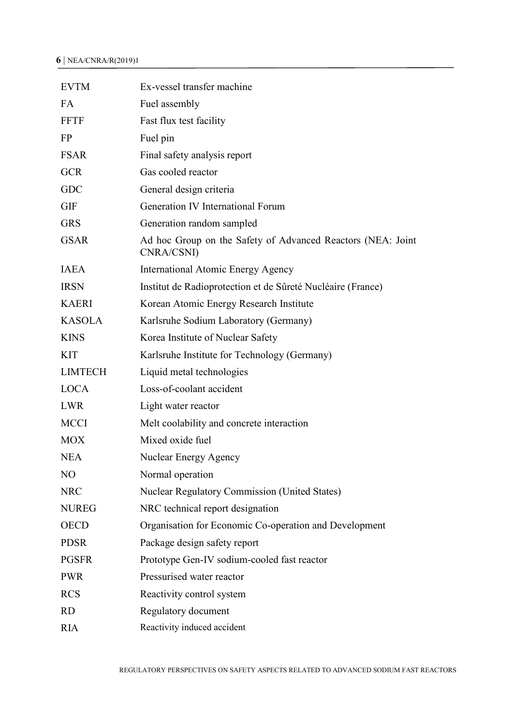| <b>EVTM</b>    | Ex-vessel transfer machine                                                |
|----------------|---------------------------------------------------------------------------|
| <b>FA</b>      | Fuel assembly                                                             |
| <b>FFTF</b>    | Fast flux test facility                                                   |
| <b>FP</b>      | Fuel pin                                                                  |
| <b>FSAR</b>    | Final safety analysis report                                              |
| <b>GCR</b>     | Gas cooled reactor                                                        |
| <b>GDC</b>     | General design criteria                                                   |
| <b>GIF</b>     | Generation IV International Forum                                         |
| <b>GRS</b>     | Generation random sampled                                                 |
| <b>GSAR</b>    | Ad hoc Group on the Safety of Advanced Reactors (NEA: Joint<br>CNRA/CSNI) |
| <b>IAEA</b>    | International Atomic Energy Agency                                        |
| <b>IRSN</b>    | Institut de Radioprotection et de Sûreté Nucléaire (France)               |
| <b>KAERI</b>   | Korean Atomic Energy Research Institute                                   |
| <b>KASOLA</b>  | Karlsruhe Sodium Laboratory (Germany)                                     |
| <b>KINS</b>    | Korea Institute of Nuclear Safety                                         |
| <b>KIT</b>     | Karlsruhe Institute for Technology (Germany)                              |
| <b>LIMTECH</b> | Liquid metal technologies                                                 |
| <b>LOCA</b>    | Loss-of-coolant accident                                                  |
| <b>LWR</b>     | Light water reactor                                                       |
| <b>MCCI</b>    | Melt coolability and concrete interaction                                 |
| <b>MOX</b>     | Mixed oxide fuel                                                          |
| <b>NEA</b>     | Nuclear Energy Agency                                                     |
| N <sub>O</sub> | Normal operation                                                          |
| <b>NRC</b>     | <b>Nuclear Regulatory Commission (United States)</b>                      |
| <b>NUREG</b>   | NRC technical report designation                                          |
| <b>OECD</b>    | Organisation for Economic Co-operation and Development                    |
| <b>PDSR</b>    | Package design safety report                                              |
| <b>PGSFR</b>   | Prototype Gen-IV sodium-cooled fast reactor                               |
| <b>PWR</b>     | Pressurised water reactor                                                 |
| <b>RCS</b>     | Reactivity control system                                                 |
| <b>RD</b>      | Regulatory document                                                       |
| <b>RIA</b>     | Reactivity induced accident                                               |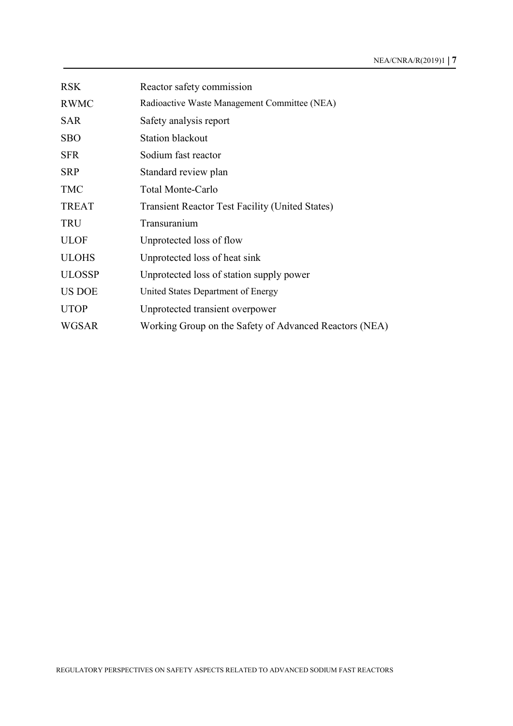<span id="page-8-0"></span>

| <b>RSK</b>    | Reactor safety commission                              |
|---------------|--------------------------------------------------------|
| <b>RWMC</b>   | Radioactive Waste Management Committee (NEA)           |
| <b>SAR</b>    | Safety analysis report                                 |
| <b>SBO</b>    | <b>Station blackout</b>                                |
| <b>SFR</b>    | Sodium fast reactor                                    |
| <b>SRP</b>    | Standard review plan                                   |
| <b>TMC</b>    | Total Monte-Carlo                                      |
| <b>TREAT</b>  | <b>Transient Reactor Test Facility (United States)</b> |
| <b>TRU</b>    | Transuranium                                           |
| <b>ULOF</b>   | Unprotected loss of flow                               |
| <b>ULOHS</b>  | Unprotected loss of heat sink                          |
| <b>ULOSSP</b> | Unprotected loss of station supply power               |
| <b>US DOE</b> | United States Department of Energy                     |
| <b>UTOP</b>   | Unprotected transient overpower                        |
| <b>WGSAR</b>  | Working Group on the Safety of Advanced Reactors (NEA) |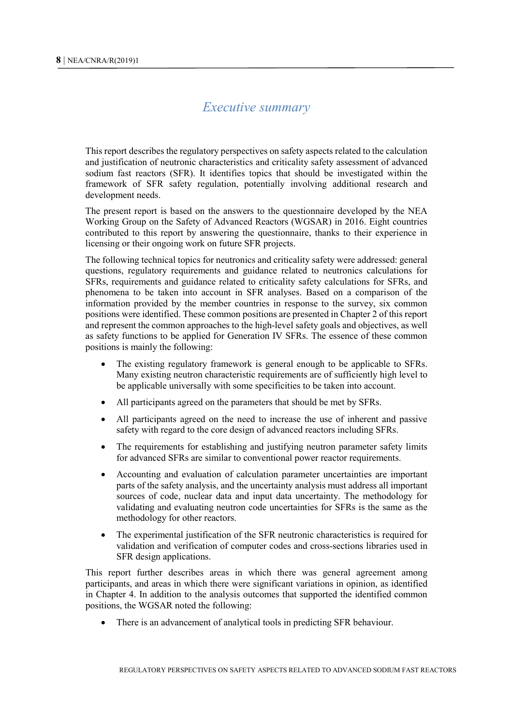#### *Executive summary*

This report describes the regulatory perspectives on safety aspects related to the calculation and justification of neutronic characteristics and criticality safety assessment of advanced sodium fast reactors (SFR). It identifies topics that should be investigated within the framework of SFR safety regulation, potentially involving additional research and development needs.

The present report is based on the answers to the questionnaire developed by the NEA Working Group on the Safety of Advanced Reactors (WGSAR) in 2016. Eight countries contributed to this report by answering the questionnaire, thanks to their experience in licensing or their ongoing work on future SFR projects.

The following technical topics for neutronics and criticality safety were addressed: general questions, regulatory requirements and guidance related to neutronics calculations for SFRs, requirements and guidance related to criticality safety calculations for SFRs, and phenomena to be taken into account in SFR analyses. Based on a comparison of the information provided by the member countries in response to the survey, six common positions were identified. These common positions are presented in Chapter 2 of this report and represent the common approaches to the high-level safety goals and objectives, as well as safety functions to be applied for Generation IV SFRs. The essence of these common positions is mainly the following:

- The existing regulatory framework is general enough to be applicable to SFRs. Many existing neutron characteristic requirements are of sufficiently high level to be applicable universally with some specificities to be taken into account.
- All participants agreed on the parameters that should be met by SFRs.
- All participants agreed on the need to increase the use of inherent and passive safety with regard to the core design of advanced reactors including SFRs.
- The requirements for establishing and justifying neutron parameter safety limits for advanced SFRs are similar to conventional power reactor requirements.
- Accounting and evaluation of calculation parameter uncertainties are important parts of the safety analysis, and the uncertainty analysis must address all important sources of code, nuclear data and input data uncertainty. The methodology for validating and evaluating neutron code uncertainties for SFRs is the same as the methodology for other reactors.
- The experimental justification of the SFR neutronic characteristics is required for validation and verification of computer codes and cross-sections libraries used in SFR design applications.

This report further describes areas in which there was general agreement among participants, and areas in which there were significant variations in opinion, as identified in Chapter 4. In addition to the analysis outcomes that supported the identified common positions, the WGSAR noted the following:

There is an advancement of analytical tools in predicting SFR behaviour.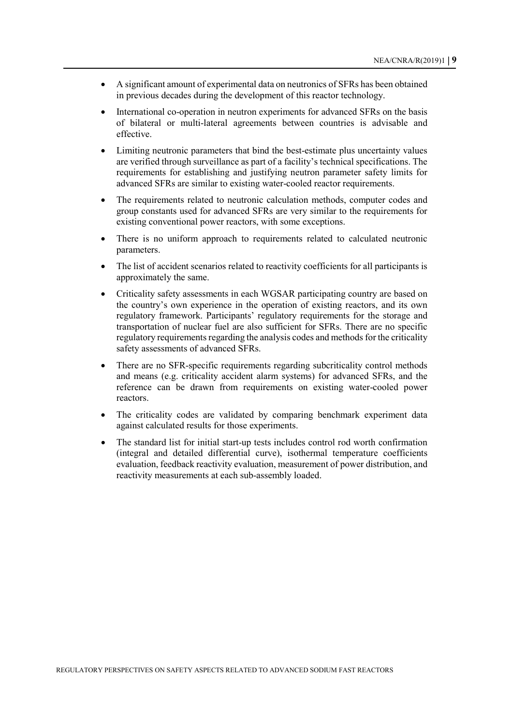- A significant amount of experimental data on neutronics of SFRs has been obtained in previous decades during the development of this reactor technology.
- International co-operation in neutron experiments for advanced SFRs on the basis of bilateral or multi-lateral agreements between countries is advisable and effective.
- Limiting neutronic parameters that bind the best-estimate plus uncertainty values are verified through surveillance as part of a facility's technical specifications. The requirements for establishing and justifying neutron parameter safety limits for advanced SFRs are similar to existing water-cooled reactor requirements.
- The requirements related to neutronic calculation methods, computer codes and group constants used for advanced SFRs are very similar to the requirements for existing conventional power reactors, with some exceptions.
- There is no uniform approach to requirements related to calculated neutronic parameters.
- The list of accident scenarios related to reactivity coefficients for all participants is approximately the same.
- Criticality safety assessments in each WGSAR participating country are based on the country's own experience in the operation of existing reactors, and its own regulatory framework. Participants' regulatory requirements for the storage and transportation of nuclear fuel are also sufficient for SFRs. There are no specific regulatory requirements regarding the analysis codes and methods for the criticality safety assessments of advanced SFRs.
- There are no SFR-specific requirements regarding subcriticality control methods and means (e.g. criticality accident alarm systems) for advanced SFRs, and the reference can be drawn from requirements on existing water-cooled power reactors.
- The criticality codes are validated by comparing benchmark experiment data against calculated results for those experiments.
- The standard list for initial start-up tests includes control rod worth confirmation (integral and detailed differential curve), isothermal temperature coefficients evaluation, feedback reactivity evaluation, measurement of power distribution, and reactivity measurements at each sub-assembly loaded.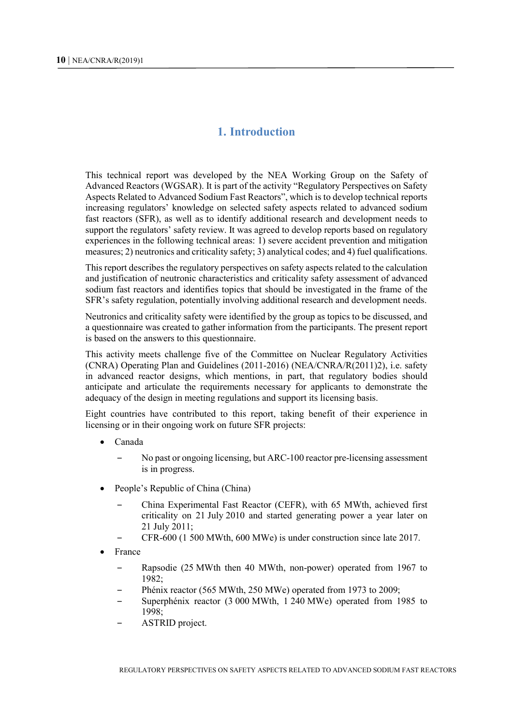#### **1. Introduction**

<span id="page-11-0"></span>This technical report was developed by the NEA Working Group on the Safety of Advanced Reactors (WGSAR). It is part of the activity "Regulatory Perspectives on Safety Aspects Related to Advanced Sodium Fast Reactors", which is to develop technical reports increasing regulators' knowledge on selected safety aspects related to advanced sodium fast reactors (SFR), as well as to identify additional research and development needs to support the regulators' safety review. It was agreed to develop reports based on regulatory experiences in the following technical areas: 1) severe accident prevention and mitigation measures; 2) neutronics and criticality safety; 3) analytical codes; and 4) fuel qualifications.

This report describes the regulatory perspectives on safety aspects related to the calculation and justification of neutronic characteristics and criticality safety assessment of advanced sodium fast reactors and identifies topics that should be investigated in the frame of the SFR's safety regulation, potentially involving additional research and development needs.

Neutronics and criticality safety were identified by the group as topics to be discussed, and a questionnaire was created to gather information from the participants. The present report is based on the answers to this questionnaire.

This activity meets challenge five of the Committee on Nuclear Regulatory Activities (CNRA) Operating Plan and Guidelines (2011-2016) (NEA/CNRA/R(2011)2), i.e. safety in advanced reactor designs, which mentions, in part, that regulatory bodies should anticipate and articulate the requirements necessary for applicants to demonstrate the adequacy of the design in meeting regulations and support its licensing basis.

Eight countries have contributed to this report, taking benefit of their experience in licensing or in their ongoing work on future SFR projects:

- Canada
	- ‒ No past or ongoing licensing, but ARC-100 reactor pre-licensing assessment is in progress.
- People's Republic of China (China)
	- ‒ China Experimental Fast Reactor (CEFR), with 65 MWth, achieved first criticality on 21 July 2010 and started generating power a year later on 21 July 2011;
	- ‒ CFR-600 (1 500 MWth, 600 MWe) is under construction since late 2017.
- **France** 
	- ‒ Rapsodie (25 MWth then 40 MWth, non-power) operated from 1967 to 1982;
	- Phénix reactor (565 MWth, 250 MWe) operated from 1973 to 2009;
	- ‒ Superphénix reactor (3 000 MWth, 1 240 MWe) operated from 1985 to 1998;
	- ASTRID project.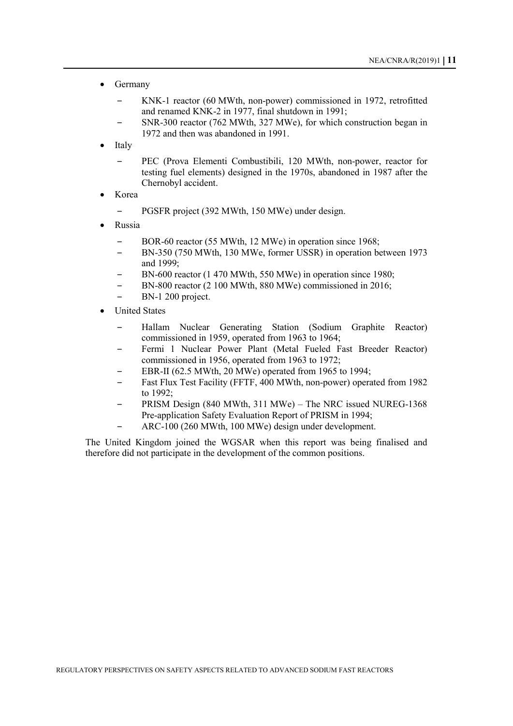- **Germany** 
	- ‒ KNK-1 reactor (60 MWth, non-power) commissioned in 1972, retrofitted and renamed KNK-2 in 1977, final shutdown in 1991;
	- ‒ SNR-300 reactor (762 MWth, 327 MWe), for which construction began in 1972 and then was abandoned in 1991.
- **Italy** 
	- ‒ PEC (Prova Elementi Combustibili, 120 MWth, non-power, reactor for testing fuel elements) designed in the 1970s, abandoned in 1987 after the Chernobyl accident.
- Korea
	- PGSFR project (392 MWth, 150 MWe) under design.
- Russia
	- BOR-60 reactor (55 MWth, 12 MWe) in operation since 1968;
	- ‒ BN-350 (750 MWth, 130 MWe, former USSR) in operation between 1973 and 1999;
	- BN-600 reactor (1 470 MWth, 550 MWe) in operation since 1980;
	- ‒ BN-800 reactor (2 100 MWth, 880 MWe) commissioned in 2016;
	- $-$  BN-1 200 project.
- United States
	- ‒ Hallam Nuclear Generating Station (Sodium Graphite Reactor) commissioned in 1959, operated from 1963 to 1964;
	- ‒ Fermi 1 Nuclear Power Plant (Metal Fueled Fast Breeder Reactor) commissioned in 1956, operated from 1963 to 1972;
	- ‒ EBR-II (62.5 MWth, 20 MWe) operated from 1965 to 1994;
	- ‒ Fast Flux Test Facility (FFTF, 400 MWth, non-power) operated from 1982 to 1992;
	- ‒ PRISM Design (840 MWth, 311 MWe) The NRC issued NUREG-1368 Pre-application Safety Evaluation Report of PRISM in 1994;
	- ‒ ARC-100 (260 MWth, 100 MWe) design under development.

The United Kingdom joined the WGSAR when this report was being finalised and therefore did not participate in the development of the common positions.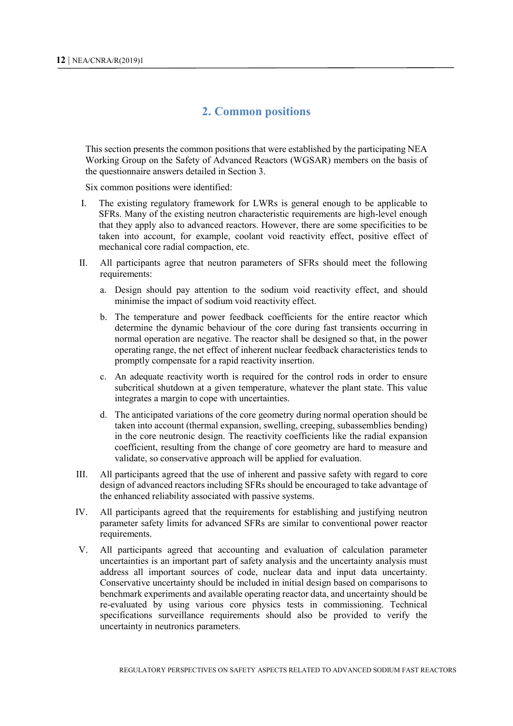#### **2. Common positions**

<span id="page-13-0"></span>This section presents the common positions that were established by the participating NEA Working Group on the Safety of Advanced Reactors (WGSAR) members on the basis of the questionnaire answers detailed in Section 3.

Six common positions were identified:

- I. The existing regulatory framework for LWRs is general enough to be applicable to SFRs. Many of the existing neutron characteristic requirements are high-level enough that they apply also to advanced reactors. However, there are some specificities to be taken into account, for example, coolant void reactivity effect, positive effect of mechanical core radial compaction, etc.
- II. All participants agree that neutron parameters of SFRs should meet the following requirements:
	- a. Design should pay attention to the sodium void reactivity effect, and should minimise the impact of sodium void reactivity effect.
	- b. The temperature and power feedback coefficients for the entire reactor which determine the dynamic behaviour of the core during fast transients occurring in normal operation are negative. The reactor shall be designed so that, in the power operating range, the net effect of inherent nuclear feedback characteristics tends to promptly compensate for a rapid reactivity insertion.
	- c. An adequate reactivity worth is required for the control rods in order to ensure subcritical shutdown at a given temperature, whatever the plant state. This value integrates a margin to cope with uncertainties.
	- d. The anticipated variations of the core geometry during normal operation should be taken into account (thermal expansion, swelling, creeping, subassemblies bending) in the core neutronic design. The reactivity coefficients like the radial expansion coefficient, resulting from the change of core geometry are hard to measure and validate, so conservative approach will be applied for evaluation.
- III. All participants agreed that the use of inherent and passive safety with regard to core design of advanced reactors including SFRs should be encouraged to take advantage of the enhanced reliability associated with passive systems.
- IV. All participants agreed that the requirements for establishing and justifying neutron parameter safety limits for advanced SFRs are similar to conventional power reactor requirements.
- V. All participants agreed that accounting and evaluation of calculation parameter uncertainties is an important part of safety analysis and the uncertainty analysis must address all important sources of code, nuclear data and input data uncertainty. Conservative uncertainty should be included in initial design based on comparisons to benchmark experiments and available operating reactor data, and uncertainty should be re-evaluated by using various core physics tests in commissioning. Technical specifications surveillance requirements should also be provided to verify the uncertainty in neutronics parameters.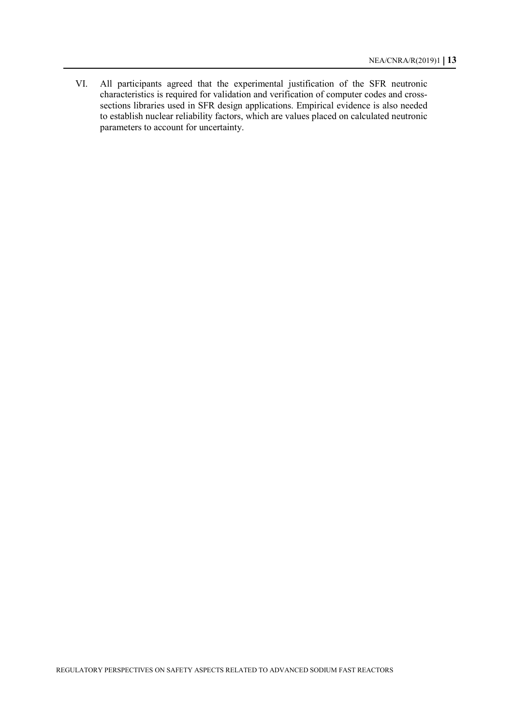VI. All participants agreed that the experimental justification of the SFR neutronic characteristics is required for validation and verification of computer codes and crosssections libraries used in SFR design applications. Empirical evidence is also needed to establish nuclear reliability factors, which are values placed on calculated neutronic parameters to account for uncertainty.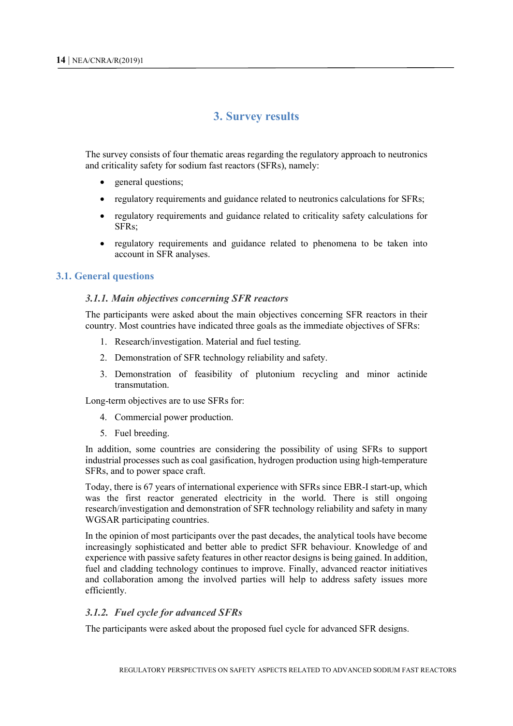#### **3. Survey results**

<span id="page-15-0"></span>The survey consists of four thematic areas regarding the regulatory approach to neutronics and criticality safety for sodium fast reactors (SFRs), namely:

- general questions;
- regulatory requirements and guidance related to neutronics calculations for SFRs;
- regulatory requirements and guidance related to criticality safety calculations for SFRs;
- regulatory requirements and guidance related to phenomena to be taken into account in SFR analyses.

#### <span id="page-15-1"></span>**3.1. General questions**

#### *3.1.1. Main objectives concerning SFR reactors*

The participants were asked about the main objectives concerning SFR reactors in their country. Most countries have indicated three goals as the immediate objectives of SFRs:

- 1. Research/investigation. Material and fuel testing.
- 2. Demonstration of SFR technology reliability and safety.
- 3. Demonstration of feasibility of plutonium recycling and minor actinide transmutation.

Long-term objectives are to use SFRs for:

- 4. Commercial power production.
- 5. Fuel breeding.

In addition, some countries are considering the possibility of using SFRs to support industrial processes such as coal gasification, hydrogen production using high-temperature SFRs, and to power space craft.

Today, there is 67 years of international experience with SFRs since EBR-I start-up, which was the first reactor generated electricity in the world. There is still ongoing research/investigation and demonstration of SFR technology reliability and safety in many WGSAR participating countries.

In the opinion of most participants over the past decades, the analytical tools have become increasingly sophisticated and better able to predict SFR behaviour. Knowledge of and experience with passive safety features in other reactor designs is being gained. In addition, fuel and cladding technology continues to improve. Finally, advanced reactor initiatives and collaboration among the involved parties will help to address safety issues more efficiently.

#### *3.1.2. Fuel cycle for advanced SFRs*

The participants were asked about the proposed fuel cycle for advanced SFR designs.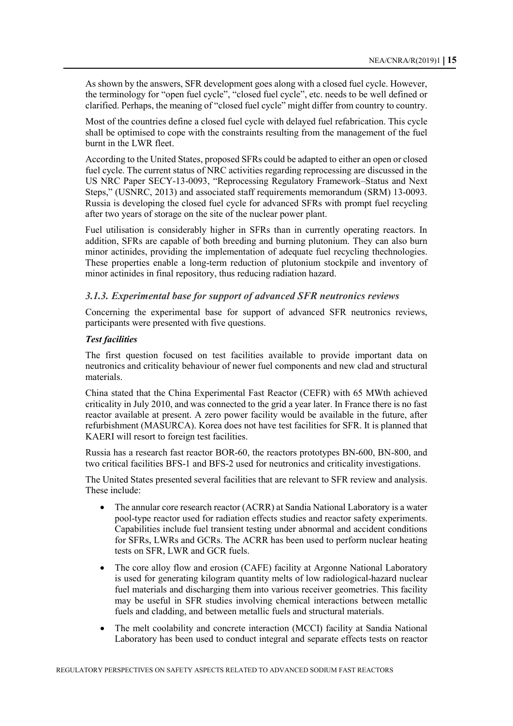As shown by the answers, SFR development goes along with a closed fuel cycle. However, the terminology for "open fuel cycle", "closed fuel cycle", etc. needs to be well defined or clarified. Perhaps, the meaning of "closed fuel cycle" might differ from country to country.

Most of the countries define a closed fuel cycle with delayed fuel refabrication. This cycle shall be optimised to cope with the constraints resulting from the management of the fuel burnt in the LWR fleet.

According to the United States, proposed SFRs could be adapted to either an open or closed fuel cycle. The current status of NRC activities regarding reprocessing are discussed in the US NRC Paper SECY-13-0093, "Reprocessing Regulatory Framework–Status and Next Steps," (USNRC, 2013) and associated staff requirements memorandum (SRM) 13-0093. Russia is developing the closed fuel cycle for advanced SFRs with prompt fuel recycling after two years of storage on the site of the nuclear power plant.

Fuel utilisation is considerably higher in SFRs than in currently operating reactors. In addition, SFRs are capable of both breeding and burning plutonium. They can also burn minor actinides, providing the implementation of adequate fuel recycling thechnologies. These properties enable a long-term reduction of plutonium stockpile and inventory of minor actinides in final repository, thus reducing radiation hazard.

#### *3.1.3. Experimental base for support of advanced SFR neutronics reviews*

Concerning the experimental base for support of advanced SFR neutronics reviews, participants were presented with five questions.

#### *Test facilities*

The first question focused on test facilities available to provide important data on neutronics and criticality behaviour of newer fuel components and new clad and structural materials.

China stated that the China Experimental Fast Reactor (CEFR) with 65 MWth achieved criticality in July 2010, and was connected to the grid a year later. In France there is no fast reactor available at present. A zero power facility would be available in the future, after refurbishment (MASURCA). Korea does not have test facilities for SFR. It is planned that KAERI will resort to foreign test facilities.

Russia has a research fast reactor BOR-60, the reactors prototypes BN-600, BN-800, and two critical facilities BFS-1 and BFS-2 used for neutronics and criticality investigations.

The United States presented several facilities that are relevant to SFR review and analysis. These include:

- The annular core research reactor (ACRR) at Sandia National Laboratory is a water pool-type reactor used for radiation effects studies and reactor safety experiments. Capabilities include fuel transient testing under abnormal and accident conditions for SFRs, LWRs and GCRs. The ACRR has been used to perform nuclear heating tests on SFR, LWR and GCR fuels.
- The core alloy flow and erosion (CAFE) facility at Argonne National Laboratory is used for generating kilogram quantity melts of low radiological-hazard nuclear fuel materials and discharging them into various receiver geometries. This facility may be useful in SFR studies involving chemical interactions between metallic fuels and cladding, and between metallic fuels and structural materials.
- The melt coolability and concrete interaction (MCCI) facility at Sandia National Laboratory has been used to conduct integral and separate effects tests on reactor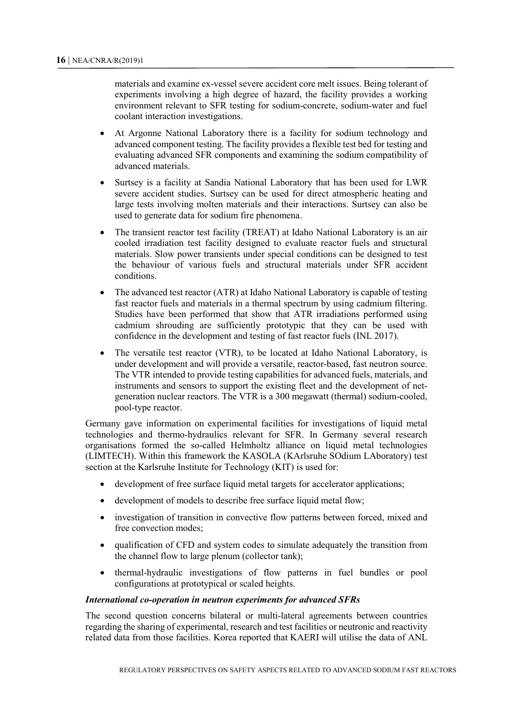materials and examine ex-vessel severe accident core melt issues. Being tolerant of experiments involving a high degree of hazard, the facility provides a working environment relevant to SFR testing for sodium-concrete, sodium-water and fuel coolant interaction investigations.

- At Argonne National Laboratory there is a facility for sodium technology and advanced component testing. The facility provides a flexible test bed for testing and evaluating advanced SFR components and examining the sodium compatibility of advanced materials.
- Surtsey is a facility at Sandia National Laboratory that has been used for LWR severe accident studies. Surtsey can be used for direct atmospheric heating and large tests involving molten materials and their interactions. Surtsey can also be used to generate data for sodium fire phenomena.
- The transient reactor test facility (TREAT) at Idaho National Laboratory is an air cooled irradiation test facility designed to evaluate reactor fuels and structural materials. Slow power transients under special conditions can be designed to test the behaviour of various fuels and structural materials under SFR accident conditions.
- The advanced test reactor (ATR) at Idaho National Laboratory is capable of testing fast reactor fuels and materials in a thermal spectrum by using cadmium filtering. Studies have been performed that show that ATR irradiations performed using cadmium shrouding are sufficiently prototypic that they can be used with confidence in the development and testing of fast reactor fuels (INL 2017).
- The versatile test reactor (VTR), to be located at Idaho National Laboratory, is under development and will provide a versatile, reactor-based, fast neutron source. The VTR intended to provide testing capabilities for advanced fuels, materials, and instruments and sensors to support the existing fleet and the development of netgeneration nuclear reactors. The VTR is a 300 megawatt (thermal) sodium-cooled, pool-type reactor.

Germany gave information on experimental facilities for investigations of liquid metal technologies and thermo-hydraulics relevant for SFR. In Germany several research organisations formed the so-called Helmholtz alliance on liquid metal technologies (LIMTECH). Within this framework the KASOLA (KArlsruhe SOdium LAboratory) test section at the Karlsruhe Institute for Technology (KIT) is used for:

- development of free surface liquid metal targets for accelerator applications;
- development of models to describe free surface liquid metal flow;
- investigation of transition in convective flow patterns between forced, mixed and free convection modes;
- qualification of CFD and system codes to simulate adequately the transition from the channel flow to large plenum (collector tank);
- thermal-hydraulic investigations of flow patterns in fuel bundles or pool configurations at prototypical or scaled heights.

#### *International co-operation in neutron experiments for advanced SFRs*

The second question concerns bilateral or multi-lateral agreements between countries regarding the sharing of experimental, research and test facilities or neutronic and reactivity related data from those facilities. Korea reported that KAERI will utilise the data of ANL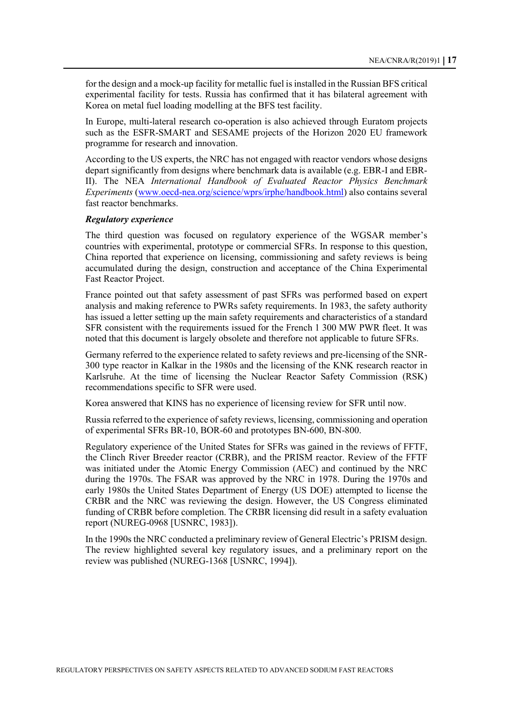for the design and a mock-up facility for metallic fuel is installed in the Russian BFS critical experimental facility for tests. Russia has confirmed that it has bilateral agreement with Korea on metal fuel loading modelling at the BFS test facility.

In Europe, multi-lateral research co-operation is also achieved through Euratom projects such as the ESFR-SMART and SESAME projects of the Horizon 2020 EU framework programme for research and innovation.

According to the US experts, the NRC has not engaged with reactor vendors whose designs depart significantly from designs where benchmark data is available (e.g. EBR-I and EBR-II). The NEA *International Handbook of Evaluated Reactor Physics Benchmark Experiments* [\(www.oecd-nea.org/science/wprs/irphe/handbook.html\)](about:blank) also contains several fast reactor benchmarks.

#### *Regulatory experience*

The third question was focused on regulatory experience of the WGSAR member's countries with experimental, prototype or commercial SFRs. In response to this question, China reported that experience on licensing, commissioning and safety reviews is being accumulated during the design, construction and acceptance of the China Experimental Fast Reactor Project.

France pointed out that safety assessment of past SFRs was performed based on expert analysis and making reference to PWRs safety requirements. In 1983, the safety authority has issued a letter setting up the main safety requirements and characteristics of a standard SFR consistent with the requirements issued for the French 1 300 MW PWR fleet. It was noted that this document is largely obsolete and therefore not applicable to future SFRs.

Germany referred to the experience related to safety reviews and pre-licensing of the SNR-300 type reactor in Kalkar in the 1980s and the licensing of the KNK research reactor in Karlsruhe. At the time of licensing the Nuclear Reactor Safety Commission (RSK) recommendations specific to SFR were used.

Korea answered that KINS has no experience of licensing review for SFR until now.

Russia referred to the experience of safety reviews, licensing, commissioning and operation of experimental SFRs BR-10, BOR-60 and prototypes BN-600, BN-800.

Regulatory experience of the United States for SFRs was gained in the reviews of FFTF, the Clinch River Breeder reactor (CRBR), and the PRISM reactor. Review of the FFTF was initiated under the Atomic Energy Commission (AEC) and continued by the NRC during the 1970s. The FSAR was approved by the NRC in 1978. During the 1970s and early 1980s the United States Department of Energy (US DOE) attempted to license the CRBR and the NRC was reviewing the design. However, the US Congress eliminated funding of CRBR before completion. The CRBR licensing did result in a safety evaluation report (NUREG-0968 [USNRC, 1983]).

In the 1990s the NRC conducted a preliminary review of General Electric's PRISM design. The review highlighted several key regulatory issues, and a preliminary report on the review was published (NUREG-1368 [USNRC, 1994]).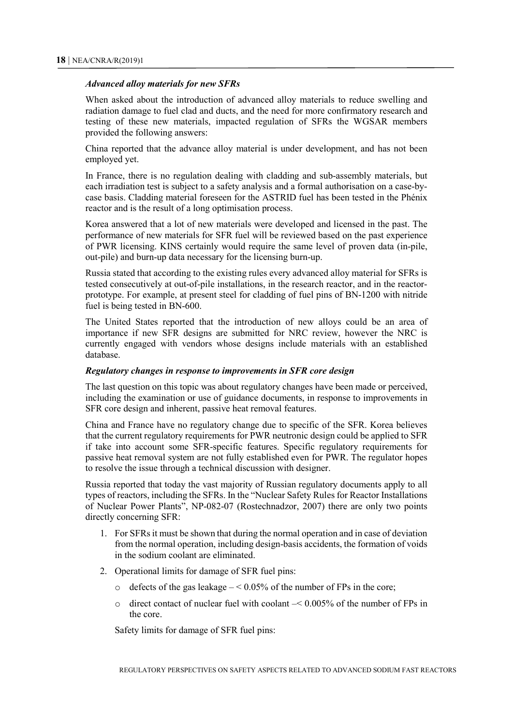#### *Advanced alloy materials for new SFRs*

When asked about the introduction of advanced alloy materials to reduce swelling and radiation damage to fuel clad and ducts, and the need for more confirmatory research and testing of these new materials, impacted regulation of SFRs the WGSAR members provided the following answers:

China reported that the advance alloy material is under development, and has not been employed yet.

In France, there is no regulation dealing with cladding and sub-assembly materials, but each irradiation test is subject to a safety analysis and a formal authorisation on a case-bycase basis. Cladding material foreseen for the ASTRID fuel has been tested in the Phénix reactor and is the result of a long optimisation process.

Korea answered that a lot of new materials were developed and licensed in the past. The performance of new materials for SFR fuel will be reviewed based on the past experience of PWR licensing. KINS certainly would require the same level of proven data (in-pile, out-pile) and burn-up data necessary for the licensing burn-up.

Russia stated that according to the existing rules every advanced alloy material for SFRs is tested consecutively at out-of-pile installations, in the research reactor, and in the reactorprototype. For example, at present steel for cladding of fuel pins of BN-1200 with nitride fuel is being tested in BN-600.

The United States reported that the introduction of new alloys could be an area of importance if new SFR designs are submitted for NRC review, however the NRC is currently engaged with vendors whose designs include materials with an established database.

#### *Regulatory changes in response to improvements in SFR core design*

The last question on this topic was about regulatory changes have been made or perceived, including the examination or use of guidance documents, in response to improvements in SFR core design and inherent, passive heat removal features.

China and France have no regulatory change due to specific of the SFR. Korea believes that the current regulatory requirements for PWR neutronic design could be applied to SFR if take into account some SFR-specific features. Specific regulatory requirements for passive heat removal system are not fully established even for PWR. The regulator hopes to resolve the issue through a technical discussion with designer.

Russia reported that today the vast majority of Russian regulatory documents apply to all types of reactors, including the SFRs. In the "Nuclear Safety Rules for Reactor Installations of Nuclear Power Plants", NP-082-07 (Rostechnadzor, 2007) there are only two points directly concerning SFR:

- 1. For SFRs it must be shown that during the normal operation and in case of deviation from the normal operation, including design-basis accidents, the formation of voids in the sodium coolant are eliminated.
- 2. Operational limits for damage of SFR fuel pins:
	- defects of the gas leakage  $< 0.05\%$  of the number of FPs in the core;
	- $\circ$  direct contact of nuclear fuel with coolant  $\sim 0.005\%$  of the number of FPs in the core.

Safety limits for damage of SFR fuel pins: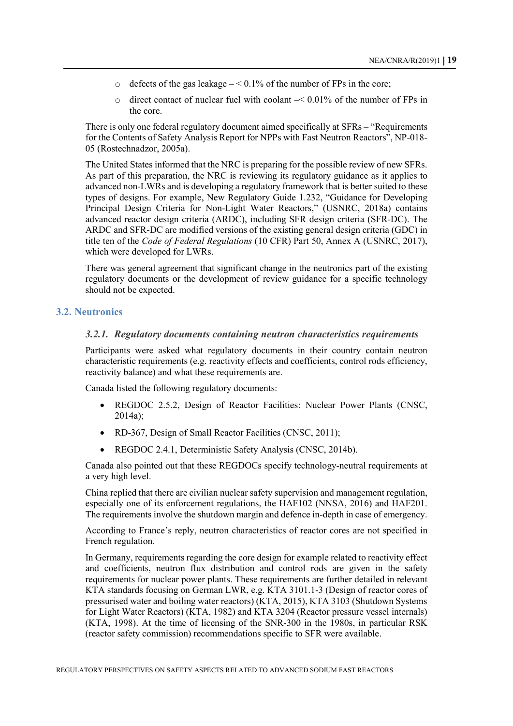- $\circ$  defects of the gas leakage  $-$  < 0.1% of the number of FPs in the core;
- $\circ$  direct contact of nuclear fuel with coolant  $\sim 0.01\%$  of the number of FPs in the core.

There is only one federal regulatory document aimed specifically at SFRs – "Requirements" for the Contents of Safety Analysis Report for NPPs with Fast Neutron Reactors", NP-018- 05 (Rostechnadzor, 2005a).

The United States informed that the NRC is preparing for the possible review of new SFRs. As part of this preparation, the NRC is reviewing its regulatory guidance as it applies to advanced non-LWRs and is developing a regulatory framework that is better suited to these types of designs. For example, New Regulatory Guide 1.232, "Guidance for Developing Principal Design Criteria for Non-Light Water Reactors," (USNRC, 2018a) contains advanced reactor design criteria (ARDC), including SFR design criteria (SFR-DC). The ARDC and SFR-DC are modified versions of the existing general design criteria (GDC) in title ten of the *Code of Federal Regulations* (10 CFR) Part 50, Annex A (USNRC, 2017), which were developed for LWRs.

There was general agreement that significant change in the neutronics part of the existing regulatory documents or the development of review guidance for a specific technology should not be expected.

#### <span id="page-20-0"></span>**3.2. Neutronics**

#### *3.2.1. Regulatory documents containing neutron characteristics requirements*

Participants were asked what regulatory documents in their country contain neutron characteristic requirements (e.g. reactivity effects and coefficients, control rods efficiency, reactivity balance) and what these requirements are.

Canada listed the following regulatory documents:

- REGDOC 2.5.2, Design of Reactor Facilities: Nuclear Power Plants (CNSC, 2014a);
- RD-367, Design of Small Reactor Facilities (CNSC, 2011);
- REGDOC 2.4.1, Deterministic Safety Analysis (CNSC, 2014b).

Canada also pointed out that these REGDOCs specify technology-neutral requirements at a very high level.

China replied that there are civilian nuclear safety supervision and management regulation, especially one of its enforcement regulations, the HAF102 (NNSA, 2016) and HAF201. The requirements involve the shutdown margin and defence in-depth in case of emergency.

According to France's reply, neutron characteristics of reactor cores are not specified in French regulation.

In Germany, requirements regarding the core design for example related to reactivity effect and coefficients, neutron flux distribution and control rods are given in the safety requirements for nuclear power plants. These requirements are further detailed in relevant KTA standards focusing on German LWR, e.g. KTA 3101.1-3 (Design of reactor cores of pressurised water and boiling water reactors) (KTA, 2015), KTA 3103 (Shutdown Systems for Light Water Reactors) (KTA, 1982) and KTA 3204 (Reactor pressure vessel internals) (KTA, 1998). At the time of licensing of the SNR-300 in the 1980s, in particular RSK (reactor safety commission) recommendations specific to SFR were available.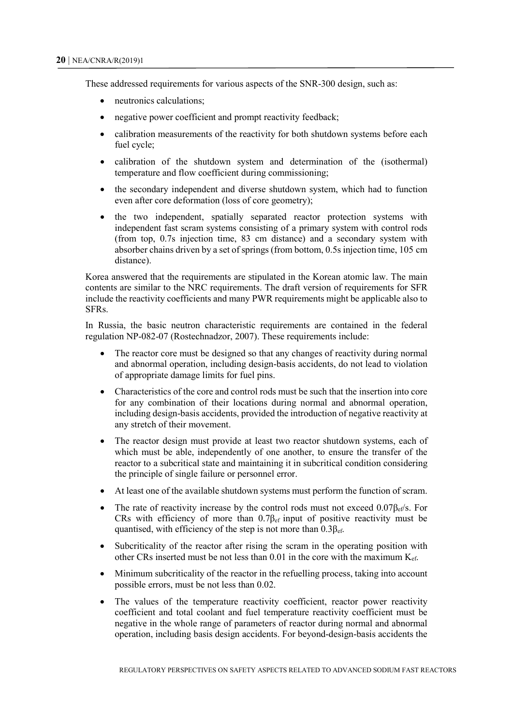These addressed requirements for various aspects of the SNR-300 design, such as:

- neutronics calculations;
- negative power coefficient and prompt reactivity feedback;
- calibration measurements of the reactivity for both shutdown systems before each fuel cycle;
- calibration of the shutdown system and determination of the (isothermal) temperature and flow coefficient during commissioning;
- the secondary independent and diverse shutdown system, which had to function even after core deformation (loss of core geometry);
- the two independent, spatially separated reactor protection systems with independent fast scram systems consisting of a primary system with control rods (from top, 0.7s injection time, 83 cm distance) and a secondary system with absorber chains driven by a set of springs (from bottom, 0.5s injection time, 105 cm distance).

Korea answered that the requirements are stipulated in the Korean atomic law. The main contents are similar to the NRC requirements. The draft version of requirements for SFR include the reactivity coefficients and many PWR requirements might be applicable also to SFRs.

In Russia, the basic neutron characteristic requirements are contained in the federal regulation NP-082-07 (Rostechnadzor, 2007). These requirements include:

- The reactor core must be designed so that any changes of reactivity during normal and abnormal operation, including design-basis accidents, do not lead to violation of appropriate damage limits for fuel pins.
- Characteristics of the core and control rods must be such that the insertion into core for any combination of their locations during normal and abnormal operation, including design-basis accidents, provided the introduction of negative reactivity at any stretch of their movement.
- The reactor design must provide at least two reactor shutdown systems, each of which must be able, independently of one another, to ensure the transfer of the reactor to a subcritical state and maintaining it in subcritical condition considering the principle of single failure or personnel error.
- At least one of the available shutdown systems must perform the function of scram.
- The rate of reactivity increase by the control rods must not exceed  $0.078<sub>ef</sub>/s$ . For CRs with efficiency of more than  $0.7\beta_{\text{ef}}$  input of positive reactivity must be quantised, with efficiency of the step is not more than  $0.3\beta_{\text{ef}}$ .
- Subcriticality of the reactor after rising the scram in the operating position with other CRs inserted must be not less than 0.01 in the core with the maximum Kef.
- Minimum subcriticality of the reactor in the refuelling process, taking into account possible errors, must be not less than 0.02.
- The values of the temperature reactivity coefficient, reactor power reactivity coefficient and total coolant and fuel temperature reactivity coefficient must be negative in the whole range of parameters of reactor during normal and abnormal operation, including basis design accidents. For beyond-design-basis accidents the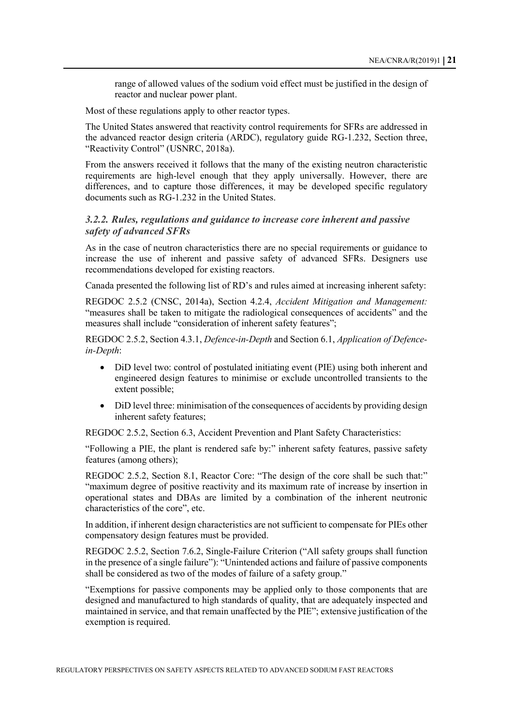range of allowed values of the sodium void effect must be justified in the design of reactor and nuclear power plant.

Most of these regulations apply to other reactor types.

The United States answered that reactivity control requirements for SFRs are addressed in the advanced reactor design criteria (ARDC), regulatory guide RG-1.232, Section three, "Reactivity Control" (USNRC, 2018a).

From the answers received it follows that the many of the existing neutron characteristic requirements are high-level enough that they apply universally. However, there are differences, and to capture those differences, it may be developed specific regulatory documents such as RG-1.232 in the United States.

#### *3.2.2. Rules, regulations and guidance to increase core inherent and passive safety of advanced SFRs*

As in the case of neutron characteristics there are no special requirements or guidance to increase the use of inherent and passive safety of advanced SFRs. Designers use recommendations developed for existing reactors.

Canada presented the following list of RD's and rules aimed at increasing inherent safety:

REGDOC 2.5.2 (CNSC, 2014a), Section 4.2.4, *Accident Mitigation and Management:* "measures shall be taken to mitigate the radiological consequences of accidents" and the measures shall include "consideration of inherent safety features";

REGDOC 2.5.2, Section 4.3.1, *Defence-in-Depth* and Section 6.1, *Application of Defencein-Depth*:

- DiD level two: control of postulated initiating event (PIE) using both inherent and engineered design features to minimise or exclude uncontrolled transients to the extent possible;
- DiD level three: minimisation of the consequences of accidents by providing design inherent safety features;

REGDOC 2.5.2, Section 6.3, Accident Prevention and Plant Safety Characteristics:

"Following a PIE, the plant is rendered safe by:" inherent safety features, passive safety features (among others);

REGDOC 2.5.2, Section 8.1, Reactor Core: "The design of the core shall be such that:" "maximum degree of positive reactivity and its maximum rate of increase by insertion in operational states and DBAs are limited by a combination of the inherent neutronic characteristics of the core", etc.

In addition, if inherent design characteristics are not sufficient to compensate for PIEs other compensatory design features must be provided.

REGDOC 2.5.2, Section 7.6.2, Single-Failure Criterion ("All safety groups shall function in the presence of a single failure"): "Unintended actions and failure of passive components shall be considered as two of the modes of failure of a safety group."

"Exemptions for passive components may be applied only to those components that are designed and manufactured to high standards of quality, that are adequately inspected and maintained in service, and that remain unaffected by the PIE"; extensive justification of the exemption is required.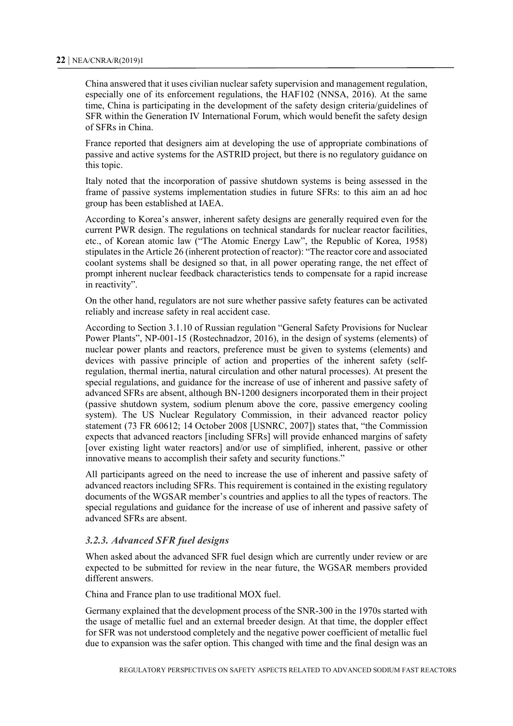China answered that it uses civilian nuclear safety supervision and management regulation, especially one of its enforcement regulations, the HAF102 (NNSA, 2016). At the same time, China is participating in the development of the safety design criteria/guidelines of SFR within the Generation IV International Forum, which would benefit the safety design of SFRs in China.

France reported that designers aim at developing the use of appropriate combinations of passive and active systems for the ASTRID project, but there is no regulatory guidance on this topic.

Italy noted that the incorporation of passive shutdown systems is being assessed in the frame of passive systems implementation studies in future SFRs: to this aim an ad hoc group has been established at IAEA.

According to Korea's answer, inherent safety designs are generally required even for the current PWR design. The regulations on technical standards for nuclear reactor facilities, etc., of Korean atomic law ("The Atomic Energy Law", the Republic of Korea, 1958) stipulates in the Article 26 (inherent protection of reactor): "The reactor core and associated coolant systems shall be designed so that, in all power operating range, the net effect of prompt inherent nuclear feedback characteristics tends to compensate for a rapid increase in reactivity".

On the other hand, regulators are not sure whether passive safety features can be activated reliably and increase safety in real accident case.

According to Section 3.1.10 of Russian regulation "General Safety Provisions for Nuclear Power Plants", NP-001-15 (Rostechnadzor, 2016), in the design of systems (elements) of nuclear power plants and reactors, preference must be given to systems (elements) and devices with passive principle of action and properties of the inherent safety (selfregulation, thermal inertia, natural circulation and other natural processes). At present the special regulations, and guidance for the increase of use of inherent and passive safety of advanced SFRs are absent, although BN-1200 designers incorporated them in their project (passive shutdown system, sodium plenum above the core, passive emergency cooling system). The US Nuclear Regulatory Commission, in their advanced reactor policy statement (73 FR 60612; 14 October 2008 [USNRC, 2007]) states that, "the Commission expects that advanced reactors [including SFRs] will provide enhanced margins of safety [over existing light water reactors] and/or use of simplified, inherent, passive or other innovative means to accomplish their safety and security functions."

All participants agreed on the need to increase the use of inherent and passive safety of advanced reactors including SFRs. This requirement is contained in the existing regulatory documents of the WGSAR member's countries and applies to all the types of reactors. The special regulations and guidance for the increase of use of inherent and passive safety of advanced SFRs are absent.

#### *3.2.3. Advanced SFR fuel designs*

When asked about the advanced SFR fuel design which are currently under review or are expected to be submitted for review in the near future, the WGSAR members provided different answers.

China and France plan to use traditional MOX fuel.

Germany explained that the development process of the SNR-300 in the 1970s started with the usage of metallic fuel and an external breeder design. At that time, the doppler effect for SFR was not understood completely and the negative power coefficient of metallic fuel due to expansion was the safer option. This changed with time and the final design was an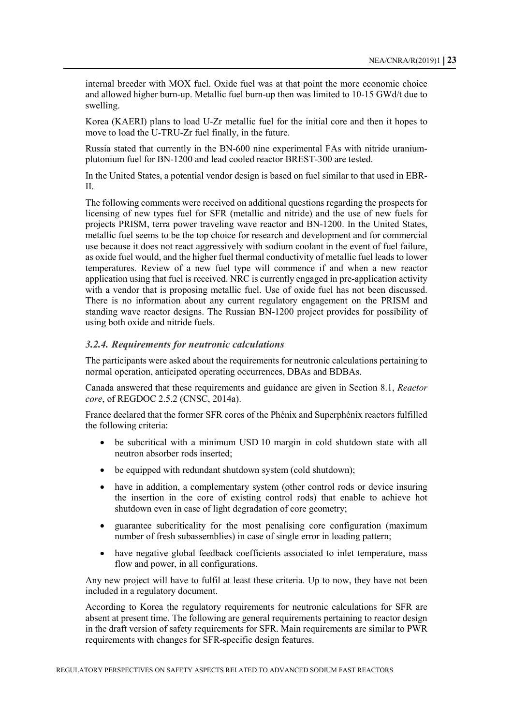internal breeder with MOX fuel. Oxide fuel was at that point the more economic choice and allowed higher burn-up. Metallic fuel burn-up then was limited to 10-15 GWd/t due to swelling.

Korea (KAERI) plans to load U-Zr metallic fuel for the initial core and then it hopes to move to load the U-TRU-Zr fuel finally, in the future.

Russia stated that currently in the BN-600 nine experimental FAs with nitride uraniumplutonium fuel for BN-1200 and lead cooled reactor BREST-300 are tested.

In the United States, a potential vendor design is based on fuel similar to that used in EBR-II.

The following comments were received on additional questions regarding the prospects for licensing of new types fuel for SFR (metallic and nitride) and the use of new fuels for projects PRISM, terra power traveling wave reactor and BN-1200. In the United States, metallic fuel seems to be the top choice for research and development and for commercial use because it does not react aggressively with sodium coolant in the event of fuel failure, as oxide fuel would, and the higher fuel thermal conductivity of metallic fuel leads to lower temperatures. Review of a new fuel type will commence if and when a new reactor application using that fuel is received. NRC is currently engaged in pre-application activity with a vendor that is proposing metallic fuel. Use of oxide fuel has not been discussed. There is no information about any current regulatory engagement on the PRISM and standing wave reactor designs. The Russian BN-1200 project provides for possibility of using both oxide and nitride fuels.

#### *3.2.4. Requirements for neutronic calculations*

The participants were asked about the requirements for neutronic calculations pertaining to normal operation, anticipated operating occurrences, DBAs and BDBAs.

Canada answered that these requirements and guidance are given in Section 8.1, *Reactor core*, of REGDOC 2.5.2 (CNSC, 2014a).

France declared that the former SFR cores of the Phénix and Superphénix reactors fulfilled the following criteria:

- be subcritical with a minimum USD 10 margin in cold shutdown state with all neutron absorber rods inserted;
- be equipped with redundant shutdown system (cold shutdown);
- have in addition, a complementary system (other control rods or device insuring the insertion in the core of existing control rods) that enable to achieve hot shutdown even in case of light degradation of core geometry;
- guarantee subcriticality for the most penalising core configuration (maximum number of fresh subassemblies) in case of single error in loading pattern;
- have negative global feedback coefficients associated to inlet temperature, mass flow and power, in all configurations.

Any new project will have to fulfil at least these criteria. Up to now, they have not been included in a regulatory document.

According to Korea the regulatory requirements for neutronic calculations for SFR are absent at present time. The following are general requirements pertaining to reactor design in the draft version of safety requirements for SFR. Main requirements are similar to PWR requirements with changes for SFR-specific design features.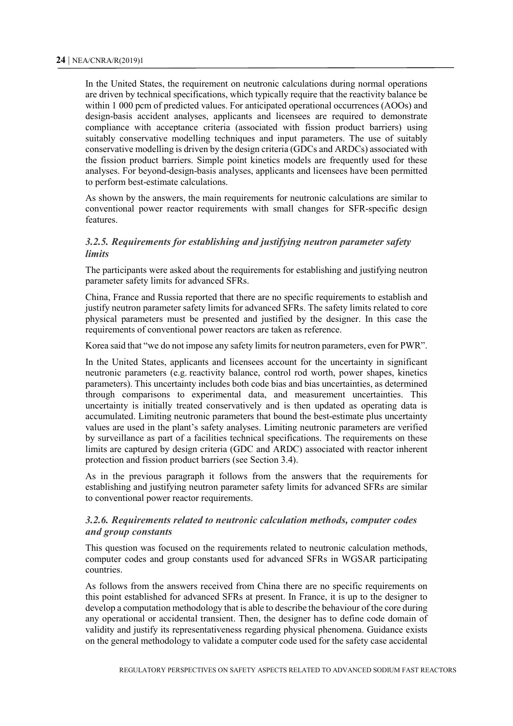In the United States, the requirement on neutronic calculations during normal operations are driven by technical specifications, which typically require that the reactivity balance be within 1 000 pcm of predicted values. For anticipated operational occurrences (AOOs) and design-basis accident analyses, applicants and licensees are required to demonstrate compliance with acceptance criteria (associated with fission product barriers) using suitably conservative modelling techniques and input parameters. The use of suitably conservative modelling is driven by the design criteria (GDCs and ARDCs) associated with the fission product barriers. Simple point kinetics models are frequently used for these analyses. For beyond-design-basis analyses, applicants and licensees have been permitted to perform best-estimate calculations.

As shown by the answers, the main requirements for neutronic calculations are similar to conventional power reactor requirements with small changes for SFR-specific design features.

#### *3.2.5. Requirements for establishing and justifying neutron parameter safety limits*

The participants were asked about the requirements for establishing and justifying neutron parameter safety limits for advanced SFRs.

China, France and Russia reported that there are no specific requirements to establish and justify neutron parameter safety limits for advanced SFRs. The safety limits related to core physical parameters must be presented and justified by the designer. In this case the requirements of conventional power reactors are taken as reference.

Korea said that "we do not impose any safety limits for neutron parameters, even for PWR".

In the United States, applicants and licensees account for the uncertainty in significant neutronic parameters (e.g. reactivity balance, control rod worth, power shapes, kinetics parameters). This uncertainty includes both code bias and bias uncertainties, as determined through comparisons to experimental data, and measurement uncertainties. This uncertainty is initially treated conservatively and is then updated as operating data is accumulated. Limiting neutronic parameters that bound the best-estimate plus uncertainty values are used in the plant's safety analyses. Limiting neutronic parameters are verified by surveillance as part of a facilities technical specifications. The requirements on these limits are captured by design criteria (GDC and ARDC) associated with reactor inherent protection and fission product barriers (see Section 3.4).

As in the previous paragraph it follows from the answers that the requirements for establishing and justifying neutron parameter safety limits for advanced SFRs are similar to conventional power reactor requirements.

#### *3.2.6. Requirements related to neutronic calculation methods, computer codes and group constants*

This question was focused on the requirements related to neutronic calculation methods, computer codes and group constants used for advanced SFRs in WGSAR participating countries.

As follows from the answers received from China there are no specific requirements on this point established for advanced SFRs at present. In France, it is up to the designer to develop a computation methodology that is able to describe the behaviour of the core during any operational or accidental transient. Then, the designer has to define code domain of validity and justify its representativeness regarding physical phenomena. Guidance exists on the general methodology to validate a computer code used for the safety case accidental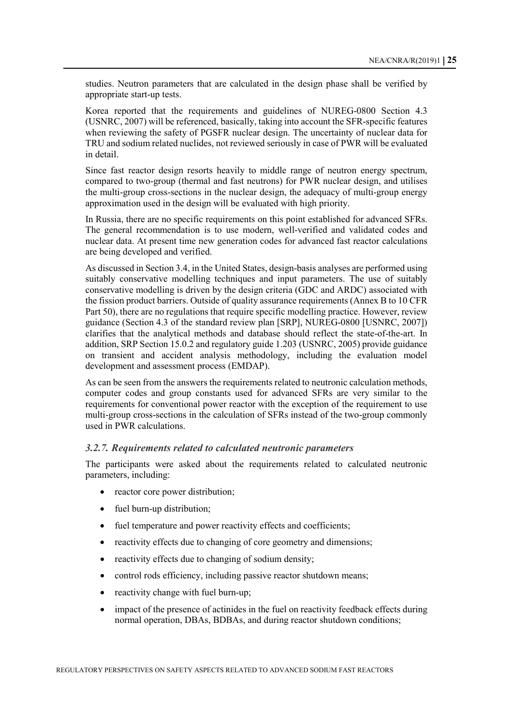studies. Neutron parameters that are calculated in the design phase shall be verified by appropriate start-up tests.

Korea reported that the requirements and guidelines of NUREG-0800 Section 4.3 (USNRC, 2007) will be referenced, basically, taking into account the SFR-specific features when reviewing the safety of PGSFR nuclear design. The uncertainty of nuclear data for TRU and sodium related nuclides, not reviewed seriously in case of PWR will be evaluated in detail.

Since fast reactor design resorts heavily to middle range of neutron energy spectrum, compared to two-group (thermal and fast neutrons) for PWR nuclear design, and utilises the multi-group cross-sections in the nuclear design, the adequacy of multi-group energy approximation used in the design will be evaluated with high priority.

In Russia, there are no specific requirements on this point established for advanced SFRs. The general recommendation is to use modern, well-verified and validated codes and nuclear data. At present time new generation codes for advanced fast reactor calculations are being developed and verified.

As discussed in Section 3.4, in the United States, design-basis analyses are performed using suitably conservative modelling techniques and input parameters. The use of suitably conservative modelling is driven by the design criteria (GDC and ARDC) associated with the fission product barriers. Outside of quality assurance requirements (Annex B to 10 CFR Part 50), there are no regulations that require specific modelling practice. However, review guidance (Section 4.3 of the standard review plan [SRP], NUREG-0800 [USNRC, 2007]) clarifies that the analytical methods and database should reflect the state-of-the-art. In addition, SRP Section 15.0.2 and regulatory guide 1.203 (USNRC, 2005) provide guidance on transient and accident analysis methodology, including the evaluation model development and assessment process (EMDAP).

As can be seen from the answers the requirements related to neutronic calculation methods, computer codes and group constants used for advanced SFRs are very similar to the requirements for conventional power reactor with the exception of the requirement to use multi-group cross-sections in the calculation of SFRs instead of the two-group commonly used in PWR calculations.

#### *3.2.7. Requirements related to calculated neutronic parameters*

The participants were asked about the requirements related to calculated neutronic parameters, including:

- reactor core power distribution;
- fuel burn-up distribution;
- fuel temperature and power reactivity effects and coefficients;
- reactivity effects due to changing of core geometry and dimensions;
- reactivity effects due to changing of sodium density;
- control rods efficiency, including passive reactor shutdown means;
- reactivity change with fuel burn-up;
- impact of the presence of actinides in the fuel on reactivity feedback effects during normal operation, DBAs, BDBAs, and during reactor shutdown conditions;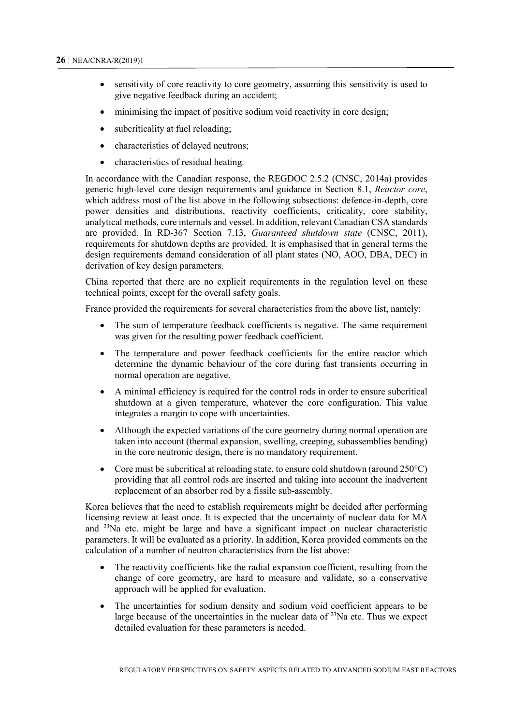- sensitivity of core reactivity to core geometry, assuming this sensitivity is used to give negative feedback during an accident;
- minimising the impact of positive sodium void reactivity in core design;
- subcriticality at fuel reloading;
- characteristics of delayed neutrons;
- characteristics of residual heating.

In accordance with the Canadian response, the REGDOC 2.5.2 (CNSC, 2014a) provides generic high-level core design requirements and guidance in Section 8.1, *Reactor core*, which address most of the list above in the following subsections: defence-in-depth, core power densities and distributions, reactivity coefficients, criticality, core stability, analytical methods, core internals and vessel. In addition, relevant Canadian CSA standards are provided. In RD-367 Section 7.13, *Guaranteed shutdown state* (CNSC, 2011), requirements for shutdown depths are provided. It is emphasised that in general terms the design requirements demand consideration of all plant states (NO, AOO, DBA, DEC) in derivation of key design parameters.

China reported that there are no explicit requirements in the regulation level on these technical points, except for the overall safety goals.

France provided the requirements for several characteristics from the above list, namely:

- The sum of temperature feedback coefficients is negative. The same requirement was given for the resulting power feedback coefficient.
- The temperature and power feedback coefficients for the entire reactor which determine the dynamic behaviour of the core during fast transients occurring in normal operation are negative.
- A minimal efficiency is required for the control rods in order to ensure subcritical shutdown at a given temperature, whatever the core configuration. This value integrates a margin to cope with uncertainties.
- Although the expected variations of the core geometry during normal operation are taken into account (thermal expansion, swelling, creeping, subassemblies bending) in the core neutronic design, there is no mandatory requirement.
- Core must be subcritical at reloading state, to ensure cold shutdown (around  $250^{\circ}$ C) providing that all control rods are inserted and taking into account the inadvertent replacement of an absorber rod by a fissile sub-assembly.

Korea believes that the need to establish requirements might be decided after performing licensing review at least once. It is expected that the uncertainty of nuclear data for MA and 23Na etc. might be large and have a significant impact on nuclear characteristic parameters. It will be evaluated as a priority. In addition, Korea provided comments on the calculation of a number of neutron characteristics from the list above:

- The reactivity coefficients like the radial expansion coefficient, resulting from the change of core geometry, are hard to measure and validate, so a conservative approach will be applied for evaluation.
- The uncertainties for sodium density and sodium void coefficient appears to be large because of the uncertainties in the nuclear data of  $^{23}$ Na etc. Thus we expect detailed evaluation for these parameters is needed.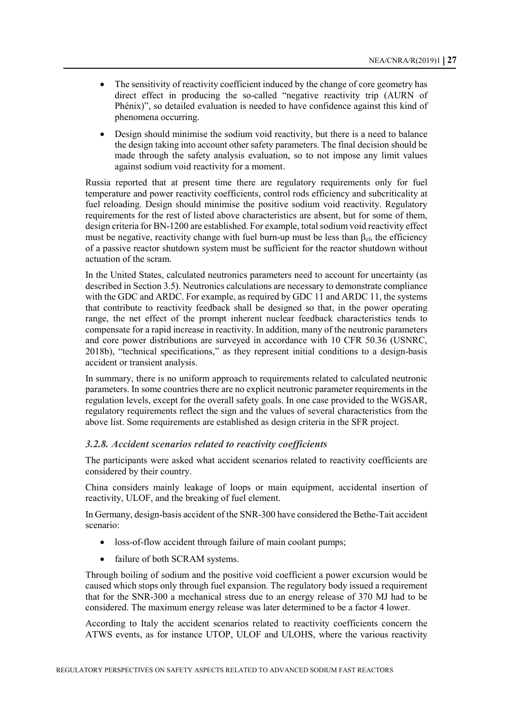- The sensitivity of reactivity coefficient induced by the change of core geometry has direct effect in producing the so-called "negative reactivity trip (AURN of Phénix)", so detailed evaluation is needed to have confidence against this kind of phenomena occurring.
- Design should minimise the sodium void reactivity, but there is a need to balance the design taking into account other safety parameters. The final decision should be made through the safety analysis evaluation, so to not impose any limit values against sodium void reactivity for a moment.

Russia reported that at present time there are regulatory requirements only for fuel temperature and power reactivity coefficients, control rods efficiency and subcriticality at fuel reloading. Design should minimise the positive sodium void reactivity. Regulatory requirements for the rest of listed above characteristics are absent, but for some of them, design criteria for BN-1200 are established. For example, total sodium void reactivity effect must be negative, reactivity change with fuel burn-up must be less than  $\beta_{\rm ef}$ , the efficiency of a passive reactor shutdown system must be sufficient for the reactor shutdown without actuation of the scram.

In the United States, calculated neutronics parameters need to account for uncertainty (as described in Section 3.5). Neutronics calculations are necessary to demonstrate compliance with the GDC and ARDC. For example, as required by GDC 11 and ARDC 11, the systems that contribute to reactivity feedback shall be designed so that, in the power operating range, the net effect of the prompt inherent nuclear feedback characteristics tends to compensate for a rapid increase in reactivity. In addition, many of the neutronic parameters and core power distributions are surveyed in accordance with 10 CFR 50.36 (USNRC, 2018b), "technical specifications," as they represent initial conditions to a design-basis accident or transient analysis.

In summary, there is no uniform approach to requirements related to calculated neutronic parameters. In some countries there are no explicit neutronic parameter requirements in the regulation levels, except for the overall safety goals. In one case provided to the WGSAR, regulatory requirements reflect the sign and the values of several characteristics from the above list. Some requirements are established as design criteria in the SFR project.

#### *3.2.8. Accident scenarios related to reactivity coefficients*

The participants were asked what accident scenarios related to reactivity coefficients are considered by their country.

China considers mainly leakage of loops or main equipment, accidental insertion of reactivity, ULOF, and the breaking of fuel element.

In Germany, design-basis accident of the SNR-300 have considered the Bethe-Tait accident scenario:

- loss-of-flow accident through failure of main coolant pumps;
- failure of both SCRAM systems.

Through boiling of sodium and the positive void coefficient a power excursion would be caused which stops only through fuel expansion. The regulatory body issued a requirement that for the SNR-300 a mechanical stress due to an energy release of 370 MJ had to be considered. The maximum energy release was later determined to be a factor 4 lower.

According to Italy the accident scenarios related to reactivity coefficients concern the ATWS events, as for instance UTOP, ULOF and ULOHS, where the various reactivity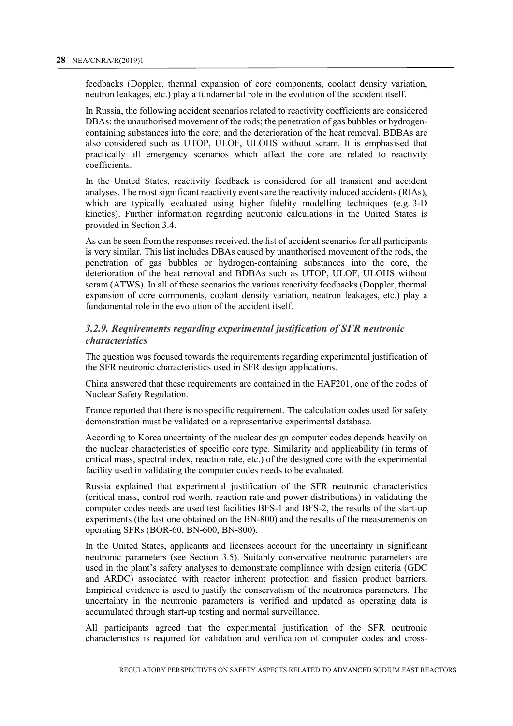feedbacks (Doppler, thermal expansion of core components, coolant density variation, neutron leakages, etc.) play a fundamental role in the evolution of the accident itself.

In Russia, the following accident scenarios related to reactivity coefficients are considered DBAs: the unauthorised movement of the rods; the penetration of gas bubbles or hydrogencontaining substances into the core; and the deterioration of the heat removal. BDBAs are also considered such as UTOP, ULOF, ULOHS without scram. It is emphasised that practically all emergency scenarios which affect the core are related to reactivity coefficients.

In the United States, reactivity feedback is considered for all transient and accident analyses. The most significant reactivity events are the reactivity induced accidents (RIAs), which are typically evaluated using higher fidelity modelling techniques (e.g. 3-D) kinetics). Further information regarding neutronic calculations in the United States is provided in Section 3.4.

As can be seen from the responses received, the list of accident scenarios for all participants is very similar. This list includes DBAs caused by unauthorised movement of the rods, the penetration of gas bubbles or hydrogen-containing substances into the core, the deterioration of the heat removal and BDBAs such as UTOP, ULOF, ULOHS without scram (ATWS). In all of these scenarios the various reactivity feedbacks (Doppler, thermal expansion of core components, coolant density variation, neutron leakages, etc.) play a fundamental role in the evolution of the accident itself.

#### *3.2.9. Requirements regarding experimental justification of SFR neutronic characteristics*

The question was focused towards the requirements regarding experimental justification of the SFR neutronic characteristics used in SFR design applications.

China answered that these requirements are contained in the HAF201, one of the codes of Nuclear Safety Regulation.

France reported that there is no specific requirement. The calculation codes used for safety demonstration must be validated on a representative experimental database.

According to Korea uncertainty of the nuclear design computer codes depends heavily on the nuclear characteristics of specific core type. Similarity and applicability (in terms of critical mass, spectral index, reaction rate, etc.) of the designed core with the experimental facility used in validating the computer codes needs to be evaluated.

Russia explained that experimental justification of the SFR neutronic characteristics (critical mass, control rod worth, reaction rate and power distributions) in validating the computer codes needs are used test facilities BFS-1 and BFS-2, the results of the start-up experiments (the last one obtained on the BN-800) and the results of the measurements on operating SFRs (BOR-60, BN-600, BN-800).

In the United States, applicants and licensees account for the uncertainty in significant neutronic parameters (see Section 3.5). Suitably conservative neutronic parameters are used in the plant's safety analyses to demonstrate compliance with design criteria (GDC and ARDC) associated with reactor inherent protection and fission product barriers. Empirical evidence is used to justify the conservatism of the neutronics parameters. The uncertainty in the neutronic parameters is verified and updated as operating data is accumulated through start-up testing and normal surveillance.

All participants agreed that the experimental justification of the SFR neutronic characteristics is required for validation and verification of computer codes and cross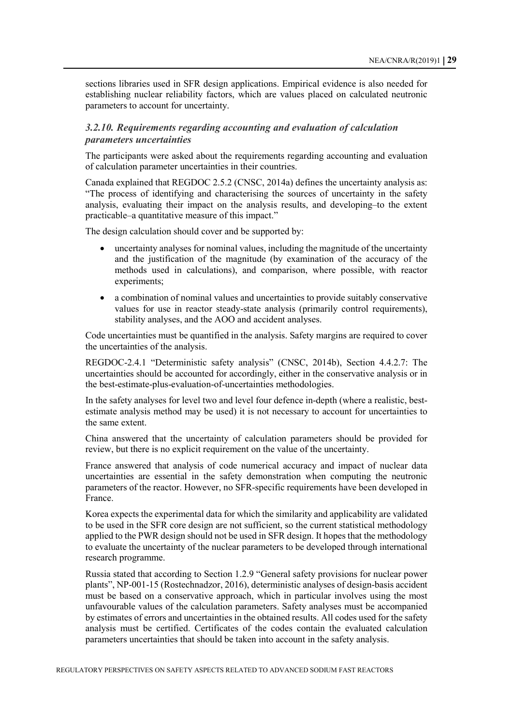sections libraries used in SFR design applications. Empirical evidence is also needed for establishing nuclear reliability factors, which are values placed on calculated neutronic parameters to account for uncertainty.

#### *3.2.10. Requirements regarding accounting and evaluation of calculation parameters uncertainties*

The participants were asked about the requirements regarding accounting and evaluation of calculation parameter uncertainties in their countries.

Canada explained that REGDOC 2.5.2 (CNSC, 2014a) defines the uncertainty analysis as: "The process of identifying and characterising the sources of uncertainty in the safety analysis, evaluating their impact on the analysis results, and developing–to the extent practicable–a quantitative measure of this impact."

The design calculation should cover and be supported by:

- uncertainty analyses for nominal values, including the magnitude of the uncertainty and the justification of the magnitude (by examination of the accuracy of the methods used in calculations), and comparison, where possible, with reactor experiments;
- a combination of nominal values and uncertainties to provide suitably conservative values for use in reactor steady-state analysis (primarily control requirements), stability analyses, and the AOO and accident analyses.

Code uncertainties must be quantified in the analysis. Safety margins are required to cover the uncertainties of the analysis.

REGDOC-2.4.1 "Deterministic safety analysis" (CNSC, 2014b), Section 4.4.2.7: The uncertainties should be accounted for accordingly, either in the conservative analysis or in the best-estimate-plus-evaluation-of-uncertainties methodologies.

In the safety analyses for level two and level four defence in-depth (where a realistic, bestestimate analysis method may be used) it is not necessary to account for uncertainties to the same extent.

China answered that the uncertainty of calculation parameters should be provided for review, but there is no explicit requirement on the value of the uncertainty.

France answered that analysis of code numerical accuracy and impact of nuclear data uncertainties are essential in the safety demonstration when computing the neutronic parameters of the reactor. However, no SFR-specific requirements have been developed in France.

Korea expects the experimental data for which the similarity and applicability are validated to be used in the SFR core design are not sufficient, so the current statistical methodology applied to the PWR design should not be used in SFR design. It hopes that the methodology to evaluate the uncertainty of the nuclear parameters to be developed through international research programme.

Russia stated that according to Section 1.2.9 "General safety provisions for nuclear power plants", NP-001-15 (Rostechnadzor, 2016), deterministic analyses of design-basis accident must be based on a conservative approach, which in particular involves using the most unfavourable values of the calculation parameters. Safety analyses must be accompanied by estimates of errors and uncertainties in the obtained results. All codes used for the safety analysis must be certified. Certificates of the codes contain the evaluated calculation parameters uncertainties that should be taken into account in the safety analysis.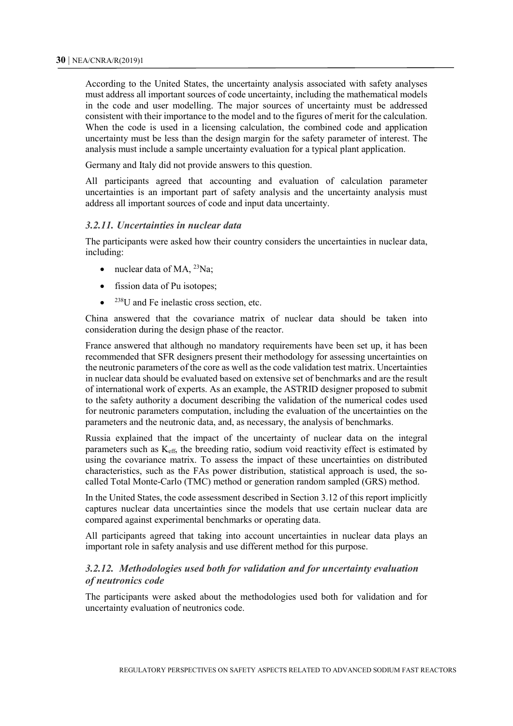According to the United States, the uncertainty analysis associated with safety analyses must address all important sources of code uncertainty, including the mathematical models in the code and user modelling. The major sources of uncertainty must be addressed consistent with their importance to the model and to the figures of merit for the calculation. When the code is used in a licensing calculation, the combined code and application uncertainty must be less than the design margin for the safety parameter of interest. The analysis must include a sample uncertainty evaluation for a typical plant application.

Germany and Italy did not provide answers to this question.

All participants agreed that accounting and evaluation of calculation parameter uncertainties is an important part of safety analysis and the uncertainty analysis must address all important sources of code and input data uncertainty.

#### *3.2.11. Uncertainties in nuclear data*

The participants were asked how their country considers the uncertainties in nuclear data, including:

- nuclear data of MA,  $^{23}$ Na;
- fission data of Pu isotopes;
- $^{238}$ U and Fe inelastic cross section, etc.

China answered that the covariance matrix of nuclear data should be taken into consideration during the design phase of the reactor.

France answered that although no mandatory requirements have been set up, it has been recommended that SFR designers present their methodology for assessing uncertainties on the neutronic parameters of the core as well as the code validation test matrix. Uncertainties in nuclear data should be evaluated based on extensive set of benchmarks and are the result of international work of experts. As an example, the ASTRID designer proposed to submit to the safety authority a document describing the validation of the numerical codes used for neutronic parameters computation, including the evaluation of the uncertainties on the parameters and the neutronic data, and, as necessary, the analysis of benchmarks.

Russia explained that the impact of the uncertainty of nuclear data on the integral parameters such as Keff, the breeding ratio, sodium void reactivity effect is estimated by using the covariance matrix. To assess the impact of these uncertainties on distributed characteristics, such as the FAs power distribution, statistical approach is used, the socalled Total Monte-Carlo (TMC) method or generation random sampled (GRS) method.

In the United States, the code assessment described in Section 3.12 of this report implicitly captures nuclear data uncertainties since the models that use certain nuclear data are compared against experimental benchmarks or operating data.

All participants agreed that taking into account uncertainties in nuclear data plays an important role in safety analysis and use different method for this purpose.

#### *3.2.12. Methodologies used both for validation and for uncertainty evaluation of neutronics code*

The participants were asked about the methodologies used both for validation and for uncertainty evaluation of neutronics code.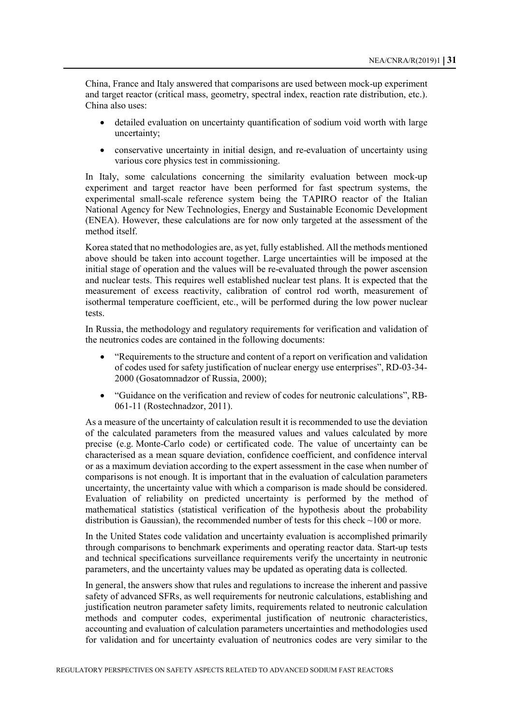China, France and Italy answered that comparisons are used between mock-up experiment and target reactor (critical mass, geometry, spectral index, reaction rate distribution, etc.). China also uses:

- detailed evaluation on uncertainty quantification of sodium void worth with large uncertainty;
- conservative uncertainty in initial design, and re-evaluation of uncertainty using various core physics test in commissioning.

In Italy, some calculations concerning the similarity evaluation between mock-up experiment and target reactor have been performed for fast spectrum systems, the experimental small-scale reference system being the TAPIRO reactor of the Italian National Agency for New Technologies, Energy and Sustainable Economic Development (ENEA). However, these calculations are for now only targeted at the assessment of the method itself.

Korea stated that no methodologies are, as yet, fully established. All the methods mentioned above should be taken into account together. Large uncertainties will be imposed at the initial stage of operation and the values will be re-evaluated through the power ascension and nuclear tests. This requires well established nuclear test plans. It is expected that the measurement of excess reactivity, calibration of control rod worth, measurement of isothermal temperature coefficient, etc., will be performed during the low power nuclear tests.

In Russia, the methodology and regulatory requirements for verification and validation of the neutronics codes are contained in the following documents:

- "Requirements to the structure and content of a report on verification and validation of codes used for safety justification of nuclear energy use enterprises", RD-03-34- 2000 (Gosatomnadzor of Russia, 2000);
- "Guidance on the verification and review of codes for neutronic calculations", RB-061-11 (Rostechnadzor, 2011).

As a measure of the uncertainty of calculation result it is recommended to use the deviation of the calculated parameters from the measured values and values calculated by more precise (e.g. Monte-Carlo code) or certificated code. The value of uncertainty can be characterised as a mean square deviation, confidence coefficient, and confidence interval or as a maximum deviation according to the expert assessment in the case when number of comparisons is not enough. It is important that in the evaluation of calculation parameters uncertainty, the uncertainty value with which a comparison is made should be considered. Evaluation of reliability on predicted uncertainty is performed by the method of mathematical statistics (statistical verification of the hypothesis about the probability distribution is Gaussian), the recommended number of tests for this check  $\sim$ 100 or more.

In the United States code validation and uncertainty evaluation is accomplished primarily through comparisons to benchmark experiments and operating reactor data. Start-up tests and technical specifications surveillance requirements verify the uncertainty in neutronic parameters, and the uncertainty values may be updated as operating data is collected.

In general, the answers show that rules and regulations to increase the inherent and passive safety of advanced SFRs, as well requirements for neutronic calculations, establishing and justification neutron parameter safety limits, requirements related to neutronic calculation methods and computer codes, experimental justification of neutronic characteristics, accounting and evaluation of calculation parameters uncertainties and methodologies used for validation and for uncertainty evaluation of neutronics codes are very similar to the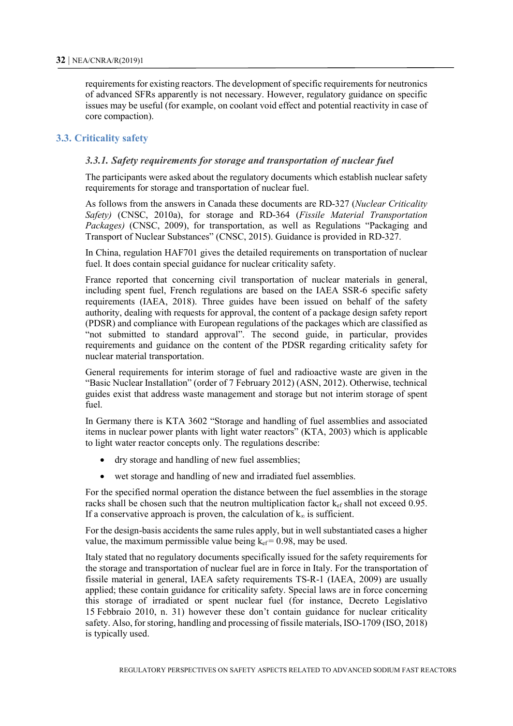requirements for existing reactors. The development of specific requirements for neutronics of advanced SFRs apparently is not necessary. However, regulatory guidance on specific issues may be useful (for example, on coolant void effect and potential reactivity in case of core compaction).

#### <span id="page-33-0"></span>**3.3. Criticality safety**

#### *3.3.1. Safety requirements for storage and transportation of nuclear fuel*

The participants were asked about the regulatory documents which establish nuclear safety requirements for storage and transportation of nuclear fuel.

As follows from the answers in Canada these documents are RD-327 (*Nuclear Criticality Safety)* (CNSC, 2010a), for storage and RD-364 (*Fissile Material Transportation Packages)* (CNSC, 2009), for transportation, as well as Regulations "Packaging and Transport of Nuclear Substances" (CNSC, 2015). Guidance is provided in RD-327.

In China, regulation HAF701 gives the detailed requirements on transportation of nuclear fuel. It does contain special guidance for nuclear criticality safety.

France reported that concerning civil transportation of nuclear materials in general, including spent fuel, French regulations are based on the IAEA SSR-6 specific safety requirements (IAEA, 2018). Three guides have been issued on behalf of the safety authority, dealing with requests for approval, the content of a package design safety report (PDSR) and compliance with European regulations of the packages which are classified as "not submitted to standard approval". The second guide, in particular, provides requirements and guidance on the content of the PDSR regarding criticality safety for nuclear material transportation.

General requirements for interim storage of fuel and radioactive waste are given in the "Basic Nuclear Installation" (order of 7 February 2012) (ASN, 2012). Otherwise, technical guides exist that address waste management and storage but not interim storage of spent fuel.

In Germany there is KTA 3602 "Storage and handling of fuel assemblies and associated items in nuclear power plants with light water reactors" (KTA, 2003) which is applicable to light water reactor concepts only. The regulations describe:

- dry storage and handling of new fuel assemblies;
- wet storage and handling of new and irradiated fuel assemblies.

For the specified normal operation the distance between the fuel assemblies in the storage racks shall be chosen such that the neutron multiplication factor  $k_{\text{cf}}$  shall not exceed 0.95. If a conservative approach is proven, the calculation of  $k_{\infty}$  is sufficient.

For the design-basis accidents the same rules apply, but in well substantiated cases a higher value, the maximum permissible value being  $k_{\text{ef}} = 0.98$ , may be used.

Italy stated that no regulatory documents specifically issued for the safety requirements for the storage and transportation of nuclear fuel are in force in Italy. For the transportation of fissile material in general, IAEA safety requirements TS-R-1 (IAEA, 2009) are usually applied; these contain guidance for criticality safety. Special laws are in force concerning this storage of irradiated or spent nuclear fuel (for instance, Decreto Legislativo 15 Febbraio 2010, n. 31) however these don't contain guidance for nuclear criticality safety. Also, for storing, handling and processing of fissile materials, ISO-1709 (ISO, 2018) is typically used.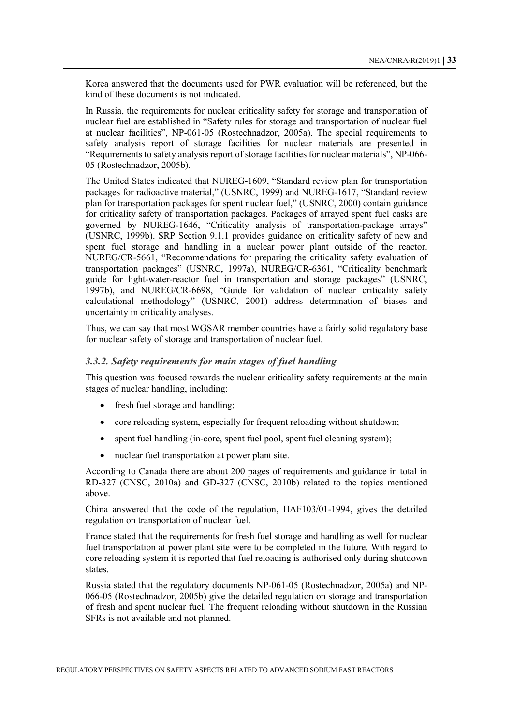Korea answered that the documents used for PWR evaluation will be referenced, but the kind of these documents is not indicated.

In Russia, the requirements for nuclear criticality safety for storage and transportation of nuclear fuel are established in "Safety rules for storage and transportation of nuclear fuel at nuclear facilities", NP-061-05 (Rostechnadzor, 2005a). The special requirements to safety analysis report of storage facilities for nuclear materials are presented in "Requirements to safety analysis report of storage facilities for nuclear materials", NP-066- 05 (Rostechnadzor, 2005b).

The United States indicated that NUREG-1609, "Standard review plan for transportation packages for radioactive material," (USNRC, 1999) and NUREG-1617, "Standard review plan for transportation packages for spent nuclear fuel," (USNRC, 2000) contain guidance for criticality safety of transportation packages. Packages of arrayed spent fuel casks are governed by NUREG-1646, "Criticality analysis of transportation-package arrays" (USNRC, 1999b). SRP Section 9.1.1 provides guidance on criticality safety of new and spent fuel storage and handling in a nuclear power plant outside of the reactor. NUREG/CR-5661, "Recommendations for preparing the criticality safety evaluation of transportation packages" (USNRC, 1997a), NUREG/CR-6361, "Criticality benchmark guide for light-water-reactor fuel in transportation and storage packages" (USNRC, 1997b), and NUREG/CR-6698, "Guide for validation of nuclear criticality safety calculational methodology" (USNRC, 2001) address determination of biases and uncertainty in criticality analyses.

Thus, we can say that most WGSAR member countries have a fairly solid regulatory base for nuclear safety of storage and transportation of nuclear fuel.

#### *3.3.2. Safety requirements for main stages of fuel handling*

This question was focused towards the nuclear criticality safety requirements at the main stages of nuclear handling, including:

- fresh fuel storage and handling;
- core reloading system, especially for frequent reloading without shutdown;
- spent fuel handling (in-core, spent fuel pool, spent fuel cleaning system);
- nuclear fuel transportation at power plant site.

According to Canada there are about 200 pages of requirements and guidance in total in RD-327 (CNSC, 2010a) and GD-327 (CNSC, 2010b) related to the topics mentioned above.

China answered that the code of the regulation, HAF103/01-1994, gives the detailed regulation on transportation of nuclear fuel.

France stated that the requirements for fresh fuel storage and handling as well for nuclear fuel transportation at power plant site were to be completed in the future. With regard to core reloading system it is reported that fuel reloading is authorised only during shutdown states.

Russia stated that the regulatory documents NP-061-05 (Rostechnadzor, 2005a) and NP-066-05 (Rostechnadzor, 2005b) give the detailed regulation on storage and transportation of fresh and spent nuclear fuel. The frequent reloading without shutdown in the Russian SFRs is not available and not planned.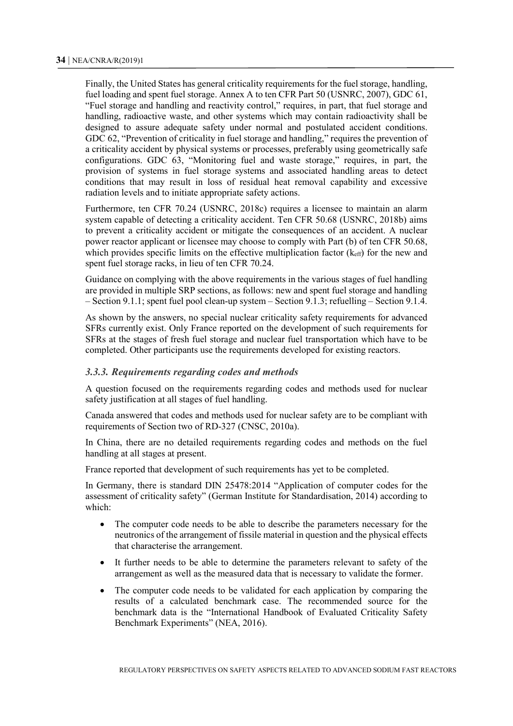Finally, the United States has general criticality requirements for the fuel storage, handling, fuel loading and spent fuel storage. Annex A to ten CFR Part 50 (USNRC, 2007), GDC 61, "Fuel storage and handling and reactivity control," requires, in part, that fuel storage and handling, radioactive waste, and other systems which may contain radioactivity shall be designed to assure adequate safety under normal and postulated accident conditions. GDC 62, "Prevention of criticality in fuel storage and handling," requires the prevention of a criticality accident by physical systems or processes, preferably using geometrically safe configurations. GDC 63, "Monitoring fuel and waste storage," requires, in part, the provision of systems in fuel storage systems and associated handling areas to detect conditions that may result in loss of residual heat removal capability and excessive radiation levels and to initiate appropriate safety actions.

Furthermore, ten CFR 70.24 (USNRC, 2018c) requires a licensee to maintain an alarm system capable of detecting a criticality accident. Ten CFR 50.68 (USNRC, 2018b) aims to prevent a criticality accident or mitigate the consequences of an accident. A nuclear power reactor applicant or licensee may choose to comply with Part (b) of ten CFR 50.68, which provides specific limits on the effective multiplication factor  $(k_{\text{eff}})$  for the new and spent fuel storage racks, in lieu of ten CFR 70.24.

Guidance on complying with the above requirements in the various stages of fuel handling are provided in multiple SRP sections, as follows: new and spent fuel storage and handling – Section 9.1.1; spent fuel pool clean-up system – Section 9.1.3; refuelling – Section 9.1.4.

As shown by the answers, no special nuclear criticality safety requirements for advanced SFRs currently exist. Only France reported on the development of such requirements for SFRs at the stages of fresh fuel storage and nuclear fuel transportation which have to be completed. Other participants use the requirements developed for existing reactors.

#### *3.3.3. Requirements regarding codes and methods*

A question focused on the requirements regarding codes and methods used for nuclear safety justification at all stages of fuel handling.

Canada answered that codes and methods used for nuclear safety are to be compliant with requirements of Section two of RD-327 (CNSC, 2010a).

In China, there are no detailed requirements regarding codes and methods on the fuel handling at all stages at present.

France reported that development of such requirements has yet to be completed.

In Germany, there is standard DIN 25478:2014 "Application of computer codes for the assessment of criticality safety" (German Institute for Standardisation, 2014) according to which:

- The computer code needs to be able to describe the parameters necessary for the neutronics of the arrangement of fissile material in question and the physical effects that characterise the arrangement.
- It further needs to be able to determine the parameters relevant to safety of the arrangement as well as the measured data that is necessary to validate the former.
- The computer code needs to be validated for each application by comparing the results of a calculated benchmark case. The recommended source for the benchmark data is the "International Handbook of Evaluated Criticality Safety Benchmark Experiments" (NEA, 2016).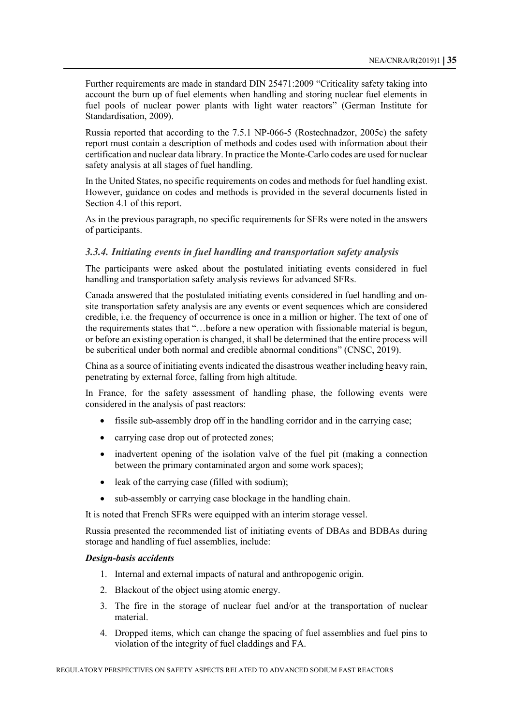Further requirements are made in standard DIN 25471:2009 "Criticality safety taking into account the burn up of fuel elements when handling and storing nuclear fuel elements in fuel pools of nuclear power plants with light water reactors" (German Institute for Standardisation, 2009).

Russia reported that according to the 7.5.1 NP-066-5 (Rostechnadzor, 2005c) the safety report must contain a description of methods and codes used with information about their certification and nuclear data library. In practice the Monte-Carlo codes are used for nuclear safety analysis at all stages of fuel handling.

In the United States, no specific requirements on codes and methods for fuel handling exist. However, guidance on codes and methods is provided in the several documents listed in Section 4.1 of this report.

As in the previous paragraph, no specific requirements for SFRs were noted in the answers of participants.

#### *3.3.4. Initiating events in fuel handling and transportation safety analysis*

The participants were asked about the postulated initiating events considered in fuel handling and transportation safety analysis reviews for advanced SFRs.

Canada answered that the postulated initiating events considered in fuel handling and onsite transportation safety analysis are any events or event sequences which are considered credible, i.e. the frequency of occurrence is once in a million or higher. The text of one of the requirements states that "…before a new operation with fissionable material is begun, or before an existing operation is changed, it shall be determined that the entire process will be subcritical under both normal and credible abnormal conditions" (CNSC, 2019).

China as a source of initiating events indicated the disastrous weather including heavy rain, penetrating by external force, falling from high altitude.

In France, for the safety assessment of handling phase, the following events were considered in the analysis of past reactors:

- fissile sub-assembly drop off in the handling corridor and in the carrying case;
- carrying case drop out of protected zones;
- inadvertent opening of the isolation valve of the fuel pit (making a connection between the primary contaminated argon and some work spaces);
- leak of the carrying case (filled with sodium);
- sub-assembly or carrying case blockage in the handling chain.

It is noted that French SFRs were equipped with an interim storage vessel.

Russia presented the recommended list of initiating events of DBAs and BDBAs during storage and handling of fuel assemblies, include:

#### *Design-basis accidents*

- 1. Internal and external impacts of natural and anthropogenic origin.
- 2. Blackout of the object using atomic energy.
- 3. The fire in the storage of nuclear fuel and/or at the transportation of nuclear material.
- 4. Dropped items, which can change the spacing of fuel assemblies and fuel pins to violation of the integrity of fuel claddings and FA.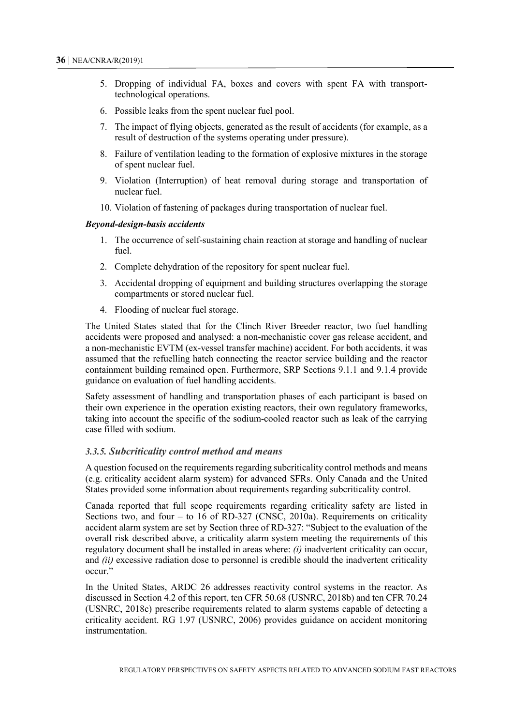- 5. Dropping of individual FA, boxes and covers with spent FA with transporttechnological operations.
- 6. Possible leaks from the spent nuclear fuel pool.
- 7. The impact of flying objects, generated as the result of accidents (for example, as a result of destruction of the systems operating under pressure).
- 8. Failure of ventilation leading to the formation of explosive mixtures in the storage of spent nuclear fuel.
- 9. Violation (Interruption) of heat removal during storage and transportation of nuclear fuel.
- 10. Violation of fastening of packages during transportation of nuclear fuel.

#### *Beyond-design-basis accidents*

- 1. The occurrence of self-sustaining chain reaction at storage and handling of nuclear fuel.
- 2. Complete dehydration of the repository for spent nuclear fuel.
- 3. Accidental dropping of equipment and building structures overlapping the storage compartments or stored nuclear fuel.
- 4. Flooding of nuclear fuel storage.

The United States stated that for the Clinch River Breeder reactor, two fuel handling accidents were proposed and analysed: a non-mechanistic cover gas release accident, and a non-mechanistic EVTM (ex-vessel transfer machine) accident. For both accidents, it was assumed that the refuelling hatch connecting the reactor service building and the reactor containment building remained open. Furthermore, SRP Sections 9.1.1 and 9.1.4 provide guidance on evaluation of fuel handling accidents.

Safety assessment of handling and transportation phases of each participant is based on their own experience in the operation existing reactors, their own regulatory frameworks, taking into account the specific of the sodium-cooled reactor such as leak of the carrying case filled with sodium.

#### *3.3.5. Subcriticality control method and means*

A question focused on the requirements regarding subcriticality control methods and means (e.g. criticality accident alarm system) for advanced SFRs. Only Canada and the United States provided some information about requirements regarding subcriticality control.

Canada reported that full scope requirements regarding criticality safety are listed in Sections two, and four – to 16 of RD-327 (CNSC, 2010a). Requirements on criticality accident alarm system are set by Section three of RD-327: "Subject to the evaluation of the overall risk described above, a criticality alarm system meeting the requirements of this regulatory document shall be installed in areas where: *(i)* inadvertent criticality can occur, and *(ii)* excessive radiation dose to personnel is credible should the inadvertent criticality occur."

In the United States, ARDC 26 addresses reactivity control systems in the reactor. As discussed in Section 4.2 of this report, ten CFR 50.68 (USNRC, 2018b) and ten CFR 70.24 (USNRC, 2018c) prescribe requirements related to alarm systems capable of detecting a criticality accident. RG 1.97 (USNRC, 2006) provides guidance on accident monitoring instrumentation.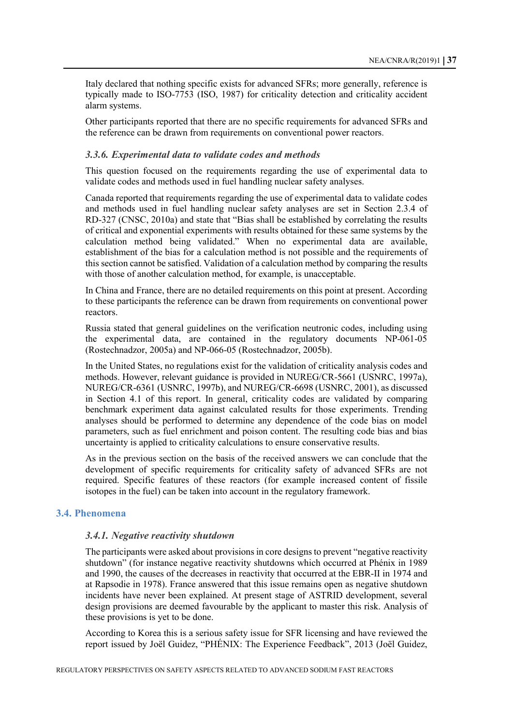Italy declared that nothing specific exists for advanced SFRs; more generally, reference is typically made to ISO-7753 (ISO, 1987) for criticality detection and criticality accident alarm systems.

Other participants reported that there are no specific requirements for advanced SFRs and the reference can be drawn from requirements on conventional power reactors.

#### *3.3.6. Experimental data to validate codes and methods*

This question focused on the requirements regarding the use of experimental data to validate codes and methods used in fuel handling nuclear safety analyses.

Canada reported that requirements regarding the use of experimental data to validate codes and methods used in fuel handling nuclear safety analyses are set in Section 2.3.4 of RD-327 (CNSC, 2010a) and state that "Bias shall be established by correlating the results of critical and exponential experiments with results obtained for these same systems by the calculation method being validated." When no experimental data are available, establishment of the bias for a calculation method is not possible and the requirements of this section cannot be satisfied. Validation of a calculation method by comparing the results with those of another calculation method, for example, is unacceptable.

In China and France, there are no detailed requirements on this point at present. According to these participants the reference can be drawn from requirements on conventional power reactors.

Russia stated that general guidelines on the verification neutronic codes, including using the experimental data, are contained in the regulatory documents NP-061-05 (Rostechnadzor, 2005a) and NP-066-05 (Rostechnadzor, 2005b).

In the United States, no regulations exist for the validation of criticality analysis codes and methods. However, relevant guidance is provided in NUREG/CR-5661 (USNRC, 1997a), NUREG/CR-6361 (USNRC, 1997b), and NUREG/CR-6698 (USNRC, 2001), as discussed in Section 4.1 of this report. In general, criticality codes are validated by comparing benchmark experiment data against calculated results for those experiments. Trending analyses should be performed to determine any dependence of the code bias on model parameters, such as fuel enrichment and poison content. The resulting code bias and bias uncertainty is applied to criticality calculations to ensure conservative results.

As in the previous section on the basis of the received answers we can conclude that the development of specific requirements for criticality safety of advanced SFRs are not required. Specific features of these reactors (for example increased content of fissile isotopes in the fuel) can be taken into account in the regulatory framework.

#### <span id="page-38-0"></span>**3.4. Phenomena**

#### *3.4.1. Negative reactivity shutdown*

The participants were asked about provisions in core designs to prevent "negative reactivity shutdown" (for instance negative reactivity shutdowns which occurred at Phénix in 1989 and 1990, the causes of the decreases in reactivity that occurred at the EBR-II in 1974 and at Rapsodie in 1978). France answered that this issue remains open as negative shutdown incidents have never been explained. At present stage of ASTRID development, several design provisions are deemed favourable by the applicant to master this risk. Analysis of these provisions is yet to be done.

According to Korea this is a serious safety issue for SFR licensing and have reviewed the report issued by Joël Guidez, "PHÉNIX: The Experience Feedback", 2013 (Joël Guidez,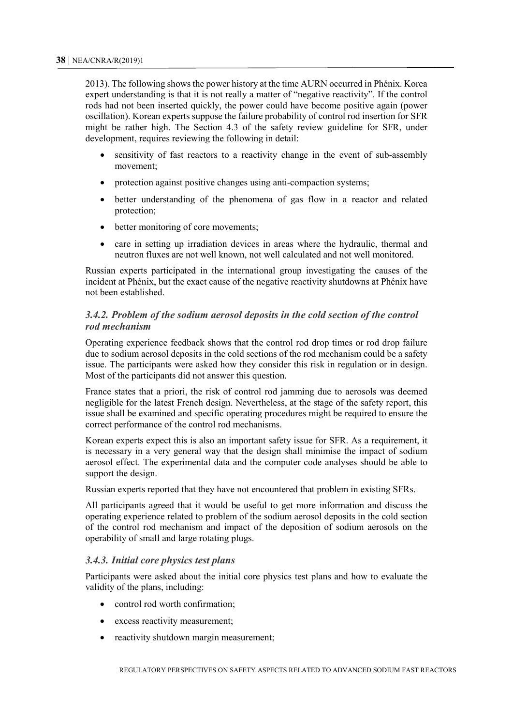2013). The following shows the power history at the time AURN occurred in Phénix. Korea expert understanding is that it is not really a matter of "negative reactivity". If the control rods had not been inserted quickly, the power could have become positive again (power oscillation). Korean experts suppose the failure probability of control rod insertion for SFR might be rather high. The Section 4.3 of the safety review guideline for SFR, under development, requires reviewing the following in detail:

- sensitivity of fast reactors to a reactivity change in the event of sub-assembly movement;
- protection against positive changes using anti-compaction systems;
- better understanding of the phenomena of gas flow in a reactor and related protection;
- better monitoring of core movements;
- care in setting up irradiation devices in areas where the hydraulic, thermal and neutron fluxes are not well known, not well calculated and not well monitored.

Russian experts participated in the international group investigating the causes of the incident at Phénix, but the exact cause of the negative reactivity shutdowns at Phénix have not been established.

#### *3.4.2. Problem of the sodium aerosol deposits in the cold section of the control rod mechanism*

Operating experience feedback shows that the control rod drop times or rod drop failure due to sodium aerosol deposits in the cold sections of the rod mechanism could be a safety issue. The participants were asked how they consider this risk in regulation or in design. Most of the participants did not answer this question.

France states that a priori, the risk of control rod jamming due to aerosols was deemed negligible for the latest French design. Nevertheless, at the stage of the safety report, this issue shall be examined and specific operating procedures might be required to ensure the correct performance of the control rod mechanisms.

Korean experts expect this is also an important safety issue for SFR. As a requirement, it is necessary in a very general way that the design shall minimise the impact of sodium aerosol effect. The experimental data and the computer code analyses should be able to support the design.

Russian experts reported that they have not encountered that problem in existing SFRs.

All participants agreed that it would be useful to get more information and discuss the operating experience related to problem of the sodium aerosol deposits in the cold section of the control rod mechanism and impact of the deposition of sodium aerosols on the operability of small and large rotating plugs.

#### *3.4.3. Initial core physics test plans*

Participants were asked about the initial core physics test plans and how to evaluate the validity of the plans, including:

- control rod worth confirmation;
- excess reactivity measurement;
- reactivity shutdown margin measurement;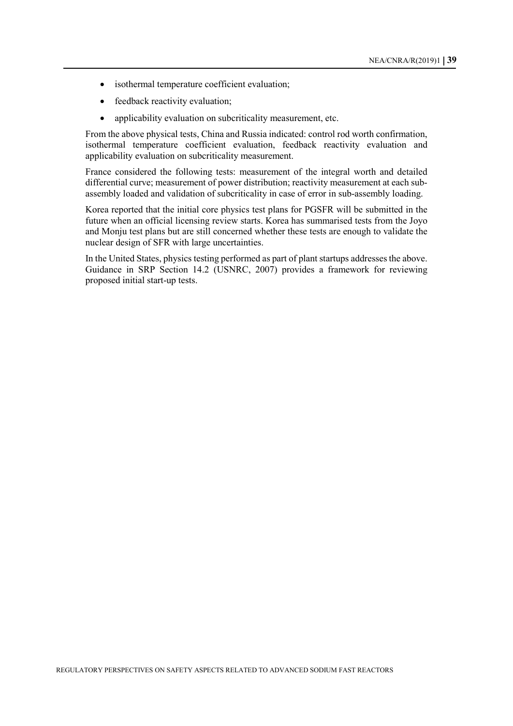- isothermal temperature coefficient evaluation;
- feedback reactivity evaluation:
- applicability evaluation on subcriticality measurement, etc.

From the above physical tests, China and Russia indicated: control rod worth confirmation, isothermal temperature coefficient evaluation, feedback reactivity evaluation and applicability evaluation on subcriticality measurement.

France considered the following tests: measurement of the integral worth and detailed differential curve; measurement of power distribution; reactivity measurement at each subassembly loaded and validation of subcriticality in case of error in sub-assembly loading.

Korea reported that the initial core physics test plans for PGSFR will be submitted in the future when an official licensing review starts. Korea has summarised tests from the Joyo and Monju test plans but are still concerned whether these tests are enough to validate the nuclear design of SFR with large uncertainties.

In the United States, physics testing performed as part of plant startups addresses the above. Guidance in SRP Section 14.2 (USNRC, 2007) provides a framework for reviewing proposed initial start-up tests.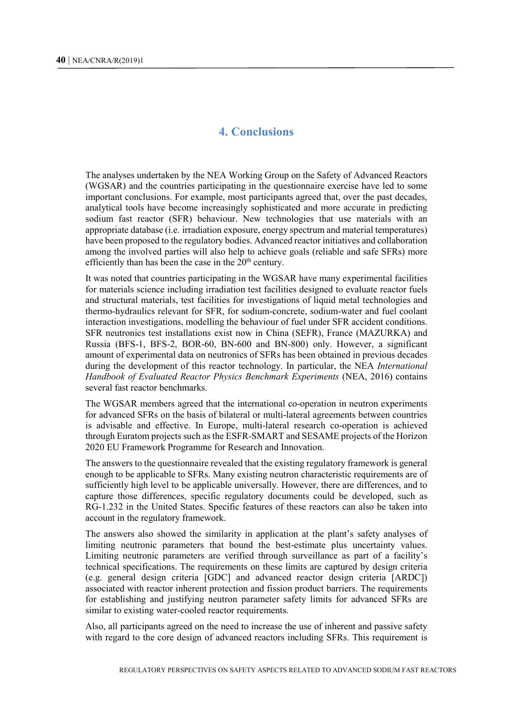#### **4. Conclusions**

<span id="page-41-0"></span>The analyses undertaken by the NEA Working Group on the Safety of Advanced Reactors (WGSAR) and the countries participating in the questionnaire exercise have led to some important conclusions. For example, most participants agreed that, over the past decades, analytical tools have become increasingly sophisticated and more accurate in predicting sodium fast reactor (SFR) behaviour. New technologies that use materials with an appropriate database (i.e. irradiation exposure, energy spectrum and material temperatures) have been proposed to the regulatory bodies. Advanced reactor initiatives and collaboration among the involved parties will also help to achieve goals (reliable and safe SFRs) more efficiently than has been the case in the  $20<sup>th</sup>$  century.

It was noted that countries participating in the WGSAR have many experimental facilities for materials science including irradiation test facilities designed to evaluate reactor fuels and structural materials, test facilities for investigations of liquid metal technologies and thermo-hydraulics relevant for SFR, for sodium-concrete, sodium-water and fuel coolant interaction investigations, modelling the behaviour of fuel under SFR accident conditions. SFR neutronics test installations exist now in China (SEFR), France (MAZURKA) and Russia (BFS-1, BFS-2, BOR-60, BN-600 and BN-800) only. However, a significant amount of experimental data on neutronics of SFRs has been obtained in previous decades during the development of this reactor technology. In particular, the NEA *International Handbook of Evaluated Reactor Physics Benchmark Experiments* (NEA, 2016) contains several fast reactor benchmarks.

The WGSAR members agreed that the international co-operation in neutron experiments for advanced SFRs on the basis of bilateral or multi-lateral agreements between countries is advisable and effective. In Europe, multi-lateral research co-operation is achieved through Euratom projects such as the ESFR-SMART and SESAME projects of the Horizon 2020 EU Framework Programme for Research and Innovation.

The answers to the questionnaire revealed that the existing regulatory framework is general enough to be applicable to SFRs. Many existing neutron characteristic requirements are of sufficiently high level to be applicable universally. However, there are differences, and to capture those differences, specific regulatory documents could be developed, such as RG-1.232 in the United States. Specific features of these reactors can also be taken into account in the regulatory framework.

The answers also showed the similarity in application at the plant's safety analyses of limiting neutronic parameters that bound the best-estimate plus uncertainty values. Limiting neutronic parameters are verified through surveillance as part of a facility's technical specifications. The requirements on these limits are captured by design criteria (e.g. general design criteria [GDC] and advanced reactor design criteria [ARDC]) associated with reactor inherent protection and fission product barriers. The requirements for establishing and justifying neutron parameter safety limits for advanced SFRs are similar to existing water-cooled reactor requirements.

Also, all participants agreed on the need to increase the use of inherent and passive safety with regard to the core design of advanced reactors including SFRs. This requirement is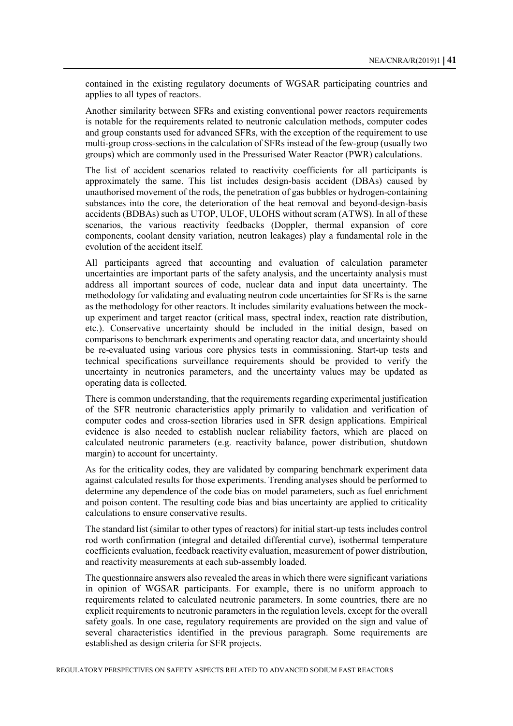contained in the existing regulatory documents of WGSAR participating countries and applies to all types of reactors.

Another similarity between SFRs and existing conventional power reactors requirements is notable for the requirements related to neutronic calculation methods, computer codes and group constants used for advanced SFRs, with the exception of the requirement to use multi-group cross-sections in the calculation of SFRs instead of the few-group (usually two groups) which are commonly used in the Pressurised Water Reactor (PWR) calculations.

The list of accident scenarios related to reactivity coefficients for all participants is approximately the same. This list includes design-basis accident (DBAs) caused by unauthorised movement of the rods, the penetration of gas bubbles or hydrogen-containing substances into the core, the deterioration of the heat removal and beyond-design-basis accidents (BDBAs) such as UTOP, ULOF, ULOHS without scram (ATWS). In all of these scenarios, the various reactivity feedbacks (Doppler, thermal expansion of core components, coolant density variation, neutron leakages) play a fundamental role in the evolution of the accident itself.

All participants agreed that accounting and evaluation of calculation parameter uncertainties are important parts of the safety analysis, and the uncertainty analysis must address all important sources of code, nuclear data and input data uncertainty. The methodology for validating and evaluating neutron code uncertainties for SFRs is the same as the methodology for other reactors. It includes similarity evaluations between the mockup experiment and target reactor (critical mass, spectral index, reaction rate distribution, etc.). Conservative uncertainty should be included in the initial design, based on comparisons to benchmark experiments and operating reactor data, and uncertainty should be re-evaluated using various core physics tests in commissioning. Start-up tests and technical specifications surveillance requirements should be provided to verify the uncertainty in neutronics parameters, and the uncertainty values may be updated as operating data is collected.

There is common understanding, that the requirements regarding experimental justification of the SFR neutronic characteristics apply primarily to validation and verification of computer codes and cross-section libraries used in SFR design applications. Empirical evidence is also needed to establish nuclear reliability factors, which are placed on calculated neutronic parameters (e.g. reactivity balance, power distribution, shutdown margin) to account for uncertainty.

As for the criticality codes, they are validated by comparing benchmark experiment data against calculated results for those experiments. Trending analyses should be performed to determine any dependence of the code bias on model parameters, such as fuel enrichment and poison content. The resulting code bias and bias uncertainty are applied to criticality calculations to ensure conservative results.

The standard list (similar to other types of reactors) for initial start-up tests includes control rod worth confirmation (integral and detailed differential curve), isothermal temperature coefficients evaluation, feedback reactivity evaluation, measurement of power distribution, and reactivity measurements at each sub-assembly loaded.

The questionnaire answers also revealed the areas in which there were significant variations in opinion of WGSAR participants. For example, there is no uniform approach to requirements related to calculated neutronic parameters. In some countries, there are no explicit requirements to neutronic parameters in the regulation levels, except for the overall safety goals. In one case, regulatory requirements are provided on the sign and value of several characteristics identified in the previous paragraph. Some requirements are established as design criteria for SFR projects.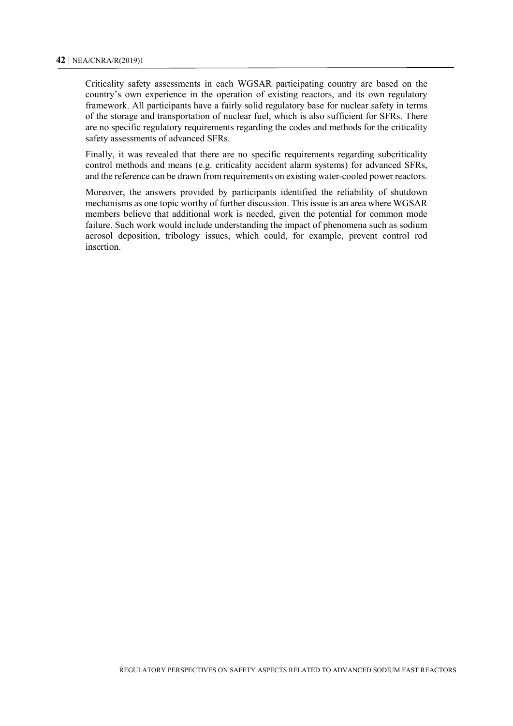Criticality safety assessments in each WGSAR participating country are based on the country's own experience in the operation of existing reactors, and its own regulatory framework. All participants have a fairly solid regulatory base for nuclear safety in terms of the storage and transportation of nuclear fuel, which is also sufficient for SFRs. There are no specific regulatory requirements regarding the codes and methods for the criticality safety assessments of advanced SFRs.

Finally, it was revealed that there are no specific requirements regarding subcriticality control methods and means (e.g. criticality accident alarm systems) for advanced SFRs, and the reference can be drawn from requirements on existing water-cooled power reactors.

Moreover, the answers provided by participants identified the reliability of shutdown mechanisms as one topic worthy of further discussion. This issue is an area where WGSAR members believe that additional work is needed, given the potential for common mode failure. Such work would include understanding the impact of phenomena such as sodium aerosol deposition, tribology issues, which could, for example, prevent control rod insertion.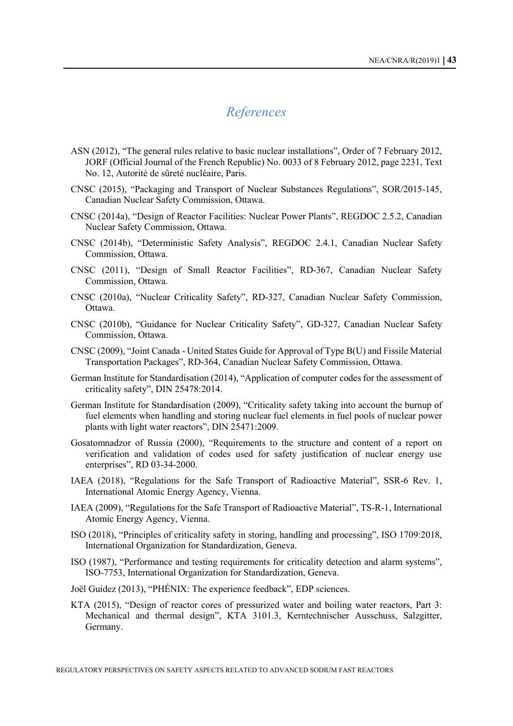### *References*

- <span id="page-44-0"></span>ASN (2012), "The general rules relative to basic nuclear installations", Order of 7 February 2012, JORF (Official Journal of the French Republic) No. 0033 of 8 February 2012, page 2231, Text No. 12, Autorité de sûreté nucléaire, Paris.
- CNSC (2015), "Packaging and Transport of Nuclear Substances Regulations", SOR/2015-145, Canadian Nuclear Safety Commission, Ottawa.
- CNSC (2014a), "Design of Reactor Facilities: Nuclear Power Plants", REGDOC 2.5.2, Canadian Nuclear Safety Commission, Ottawa.
- CNSC (2014b), "Deterministic Safety Analysis", REGDOC 2.4.1, Canadian Nuclear Safety Commission, Ottawa.
- CNSC (2011), "Design of Small Reactor Facilities", RD-367, Canadian Nuclear Safety Commission, Ottawa.
- CNSC (2010a), "Nuclear Criticality Safety", RD-327, Canadian Nuclear Safety Commission, Ottawa.
- CNSC (2010b), "Guidance for Nuclear Criticality Safety", GD-327, Canadian Nuclear Safety Commission, Ottawa.
- CNSC (2009), "Joint Canada United States Guide for Approval of Type B(U) and Fissile Material Transportation Packages", RD-364, Canadian Nuclear Safety Commission, Ottawa.
- German Institute for Standardisation (2014), "Application of computer codes for the assessment of criticality safety", DIN 25478:2014.
- German Institute for Standardisation (2009), "Criticality safety taking into account the burnup of fuel elements when handling and storing nuclear fuel elements in fuel pools of nuclear power plants with light water reactors", DIN 25471:2009.
- Gosatomnadzor of Russia (2000), "Requirements to the structure and content of a report on verification and validation of codes used for safety justification of nuclear energy use enterprises", RD 03-34-2000.
- IAEA (2018), "Regulations for the Safe Transport of Radioactive Material", SSR-6 Rev. 1, International Atomic Energy Agency, Vienna.
- IAEA (2009), "Regulations for the Safe Transport of Radioactive Material", TS-R-1, International Atomic Energy Agency, Vienna.
- ISO (2018), "Principles of criticality safety in storing, handling and processing", ISO 1709:2018, International Organization for Standardization, Geneva.
- ISO (1987), "Performance and testing requirements for criticality detection and alarm systems", ISO-7753, International Organization for Standardization, Geneva.
- Joël Guidez (2013), "PHÉNIX: The experience feedback", EDP sciences.
- KTA (2015), "Design of reactor cores of pressurized water and boiling water reactors, Part 3: Mechanical and thermal design", KTA 3101.3, Kerntechnischer Ausschuss, Salzgitter, Germany.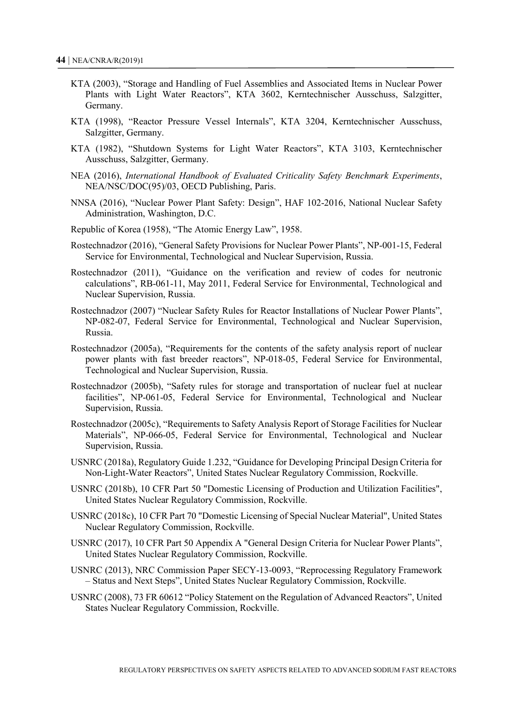- KTA (2003), "Storage and Handling of Fuel Assemblies and Associated Items in Nuclear Power Plants with Light Water Reactors", KTA 3602, Kerntechnischer Ausschuss, Salzgitter, Germany.
- KTA (1998), "Reactor Pressure Vessel Internals", KTA 3204, Kerntechnischer Ausschuss, Salzgitter, Germany.
- KTA (1982), "Shutdown Systems for Light Water Reactors", KTA 3103, Kerntechnischer Ausschuss, Salzgitter, Germany.
- NEA (2016), *International Handbook of Evaluated Criticality Safety Benchmark Experiments*, NEA/NSC/DOC(95)/03, OECD Publishing, Paris.
- NNSA (2016), "Nuclear Power Plant Safety: Design", HAF 102-2016, National Nuclear Safety Administration, Washington, D.C.
- Republic of Korea (1958), "The Atomic Energy Law", 1958.
- Rostechnadzor (2016), "General Safety Provisions for Nuclear Power Plants", NP-001-15, Federal Service for Environmental, Technological and Nuclear Supervision, Russia.
- Rostechnadzor (2011), "Guidance on the verification and review of codes for neutronic calculations", RB-061-11, May 2011, Federal Service for Environmental, Technological and Nuclear Supervision, Russia.
- Rostechnadzor (2007) "Nuclear Safety Rules for Reactor Installations of Nuclear Power Plants", NP-082-07, Federal Service for Environmental, Technological and Nuclear Supervision, Russia.
- Rostechnadzor (2005a), "Requirements for the contents of the safety analysis report of nuclear power plants with fast breeder reactors", NP-018-05, Federal Service for Environmental, Technological and Nuclear Supervision, Russia.
- Rostechnadzor (2005b), "Safety rules for storage and transportation of nuclear fuel at nuclear facilities", NP-061-05, Federal Service for Environmental, Technological and Nuclear Supervision, Russia.
- Rostechnadzor (2005c), "Requirements to Safety Analysis Report of Storage Facilities for Nuclear Materials", NP-066-05, Federal Service for Environmental, Technological and Nuclear Supervision, Russia.
- USNRC (2018a), Regulatory Guide 1.232, "Guidance for Developing Principal Design Criteria for Non-Light-Water Reactors", United States Nuclear Regulatory Commission, Rockville.
- USNRC (2018b), 10 CFR Part 50 "Domestic Licensing of Production and Utilization Facilities", United States Nuclear Regulatory Commission, Rockville.
- USNRC (2018c), 10 CFR Part 70 "Domestic Licensing of Special Nuclear Material", United States Nuclear Regulatory Commission, Rockville.
- USNRC (2017), 10 CFR Part 50 Appendix A "General Design Criteria for Nuclear Power Plants", United States Nuclear Regulatory Commission, Rockville.
- USNRC (2013), NRC Commission Paper SECY-13-0093, "Reprocessing Regulatory Framework – Status and Next Steps", United States Nuclear Regulatory Commission, Rockville.
- USNRC (2008), 73 FR 60612 "Policy Statement on the Regulation of Advanced Reactors", United States Nuclear Regulatory Commission, Rockville.